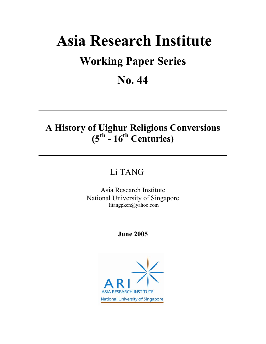# **Asia Research Institute**

# **Working Paper Series**

# **No. 44**

# **A History of Uighur Religious Conversions**   $(5^{\text{th}} - 16^{\text{th}}$  Centuries)

## Li TANG

Asia Research Institute National University of Singapore<br>litangpkcn@yahoo.com

### **June 2005**

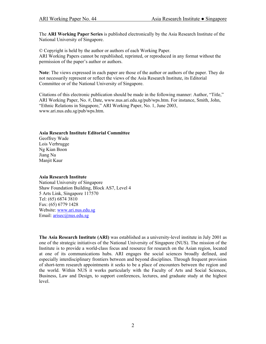The **ARI Working Paper Series** is published electronically by the Asia Research Institute of the National University of Singapore.

© Copyright is held by the author or authors of each Working Paper. ARI Working Papers cannot be republished, reprinted, or reproduced in any format without the permission of the paper's author or authors.

**Note**: The views expressed in each paper are those of the author or authors of the paper. They do not necessarily represent or reflect the views of the Asia Research Institute, its Editorial Committee or of the National University of Singapore.

Citations of this electronic publication should be made in the following manner: Author, "Title," ARI Working Paper, No. #, Date, www.nus.ari.edu.sg/pub/wps.htm. For instance, Smith, John, "Ethnic Relations in Singapore," ARI Working Paper, No. 1, June 2003, www.ari.nus.edu.sg/pub/wps.htm.

#### **Asia Research Institute Editorial Committee**

Geoffrey Wade Lois Verbrugge Ng Kian Boon Jiang Na Manjit Kaur

#### **Asia Research Institute**

National University of Singapore Shaw Foundation Building, Block AS7, Level 4 5 Arts Link, Singapore 117570 Tel: (65) 6874 3810 Fax: (65) 6779 1428 Website: [www.ari.nus.edu.sg](http://www.ari.nus.edu.sg/) Email: [arisec@nus.edu.sg](mailto:arisec@nus.edu.sg)

**The Asia Research Institute (ARI)** was established as a university-level institute in July 2001 as one of the strategic initiatives of the National University of Singapore (NUS). The mission of the Institute is to provide a world-class focus and resource for research on the Asian region, located at one of its communications hubs. ARI engages the social sciences broadly defined, and especially interdisciplinary frontiers between and beyond disciplines. Through frequent provision of short-term research appointments it seeks to be a place of encounters between the region and the world. Within NUS it works particularly with the Faculty of Arts and Social Sciences, Business, Law and Design, to support conferences, lectures, and graduate study at the highest level.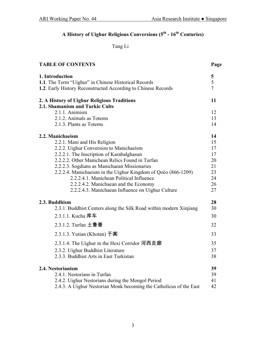### A History of Uighur Religious Conversions (5<sup>th</sup> - 16<sup>th</sup> Centuries)

### Tang Li

| <b>TABLE OF CONTENTS</b>                                                                                                                 | Page                     |
|------------------------------------------------------------------------------------------------------------------------------------------|--------------------------|
| 1. Introduction<br>1.1. The Term "Uighur" in Chinese Historical Records<br>1.2. Early History Reconstructed According to Chinese Records | 5<br>5<br>$\overline{7}$ |
| 2. A History of Uighur Religious Traditions<br>2.1. Shamanism and Turkic Cults                                                           | 11                       |
| $2.1.1.$ Animism                                                                                                                         | 12                       |
| 2.1.2. Animals as Totems                                                                                                                 | 13                       |
| 2.1.3. Plants as Totems                                                                                                                  | 14                       |
| 2.2. Manichaeism                                                                                                                         | 14                       |
| 2.2.1. Mani and His Religion                                                                                                             | 15                       |
| 2.2.2. Uighur Conversion to Manichaeism                                                                                                  | 17                       |
| 2.2.2.1. The Inscription of Karabalghasun                                                                                                | 17                       |
| 2.2.2.2. Other Manichean Relics Found in Turfan                                                                                          | 20                       |
| 2.2.2.3. Sogdians as Manichaean Missionaries                                                                                             | 21                       |
| 2.2.2.4. Manichaeism in the Uighur Kingdom of Qočo (866-1209)                                                                            | 23                       |
| 2.2.2.4.1. Manichean Political Influence                                                                                                 | 24                       |
| 2.2.2.4.2. Manichaean and the Economy                                                                                                    | 26                       |
| 2.2.2.4.3. Manichaean Influence on Uighur Culture                                                                                        | 27                       |
| 2.3. Buddhism                                                                                                                            | 28                       |
| 2.3.1. Buddhist Centers along the Silk Road within modern Xinjiang                                                                       | 30                       |
| 2.3.1.1. Kucha 库车                                                                                                                        | 30                       |
| $2.3.1.2$ . Turfan 土鲁番                                                                                                                   | 32                       |
| $2.3.1.3$ . Yutian (Khotan) 于阗                                                                                                           | 33                       |
| 2.3.1.4. The Uighur in the Hexi Corridor 河西走廊                                                                                            | 35                       |
| 2.3.2. Uighur Buddhist Literature                                                                                                        | 37                       |
| 2.3.3. Buddhist Arts in East Turkistan                                                                                                   | 38                       |
| 2.4. Nestorianism                                                                                                                        | 39                       |
| 2.4.1. Nestorians in Turfan                                                                                                              | 39                       |
| 2.4.2. Uighur Nestorians during the Mongol Period                                                                                        | 41                       |
| 2.4.3. A Uighur Nestorian Monk becoming the Catholicus of the East                                                                       | 42                       |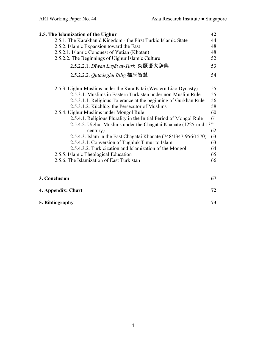| 2.5. The Islamization of the Uighur                                             | 42 |
|---------------------------------------------------------------------------------|----|
| 2.5.1. The Karakhanid Kingdom - the First Turkic Islamic State                  | 44 |
| 2.5.2. Islamic Expansion toward the East                                        | 48 |
| 2.5.2.1. Islamic Conquest of Yutian (Khotan)                                    | 48 |
| 2.5.2.2. The Beginnings of Uighur Islamic Culture                               | 52 |
| 2.5.2.2.1. Dīwan Luyāt at-Turk 突厥语大辞典                                           | 53 |
| 2.5.2.2.2. <i>Qutadeghu Bilig</i> 福乐智慧                                          | 54 |
| 2.5.3. Uighur Muslims under the Kara Kitai (Western Liao Dynasty)               | 55 |
| 2.5.3.1. Muslims in Eastern Turkistan under non-Muslim Rule                     | 55 |
| 2.5.3.1.1. Religious Tolerance at the beginning of Gurkhan Rule                 | 56 |
| 2.5.3.1.2. Küchlüg, the Persecutor of Muslims                                   | 58 |
| 2.5.4. Uighur Muslims under Mongol Rule                                         | 60 |
| 2.5.4.1. Religious Plurality in the Initial Period of Mongol Rule               | 61 |
| 2.5.4.2. Uighur Muslims under the Chagatai Khanate (1225-mid 13 <sup>th</sup> ) |    |
| century)                                                                        | 62 |
| 2.5.4.3. Islam in the East Chagatai Khanate (748/1347-956/1570)                 | 63 |
| 2.5.4.3.1. Conversion of Tughluk Timur to Islam                                 | 63 |
| 2.5.4.3.2. Turkicization and Islamization of the Mongol                         | 64 |
| 2.5.5. Islamic Theological Education                                            | 65 |
| 2.5.6. The Islamization of East Turkistan                                       | 66 |
|                                                                                 |    |
| 3. Conclusion                                                                   | 67 |
| 4. Appendix: Chart                                                              | 72 |
| 5. Bibliography                                                                 | 73 |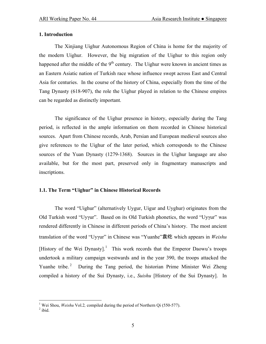#### **1. Introduction**

The Xinjiang Uighur Autonomous Region of China is home for the majority of the modern Uighur. However, the big migration of the Uighur to this region only happened after the middle of the  $9<sup>th</sup>$  century. The Uighur were known in ancient times as an Eastern Asiatic nation of Turkish race whose influence swept across East and Central Asia for centuries. In the course of the history of China, especially from the time of the Tang Dynasty (618-907), the role the Uighur played in relation to the Chinese empires can be regarded as distinctly important.

The significance of the Uighur presence in history, especially during the Tang period, is reflected in the ample information on them recorded in Chinese historical sources. Apart from Chinese records, Arab, Persian and European medieval sources also give references to the Uighur of the later period, which corresponds to the Chinese sources of the Yuan Dynasty (1279-1368). Sources in the Uighur language are also available, but for the most part, preserved only in fragmentary manuscripts and inscriptions.

#### **1.1. The Term "Uighur" in Chinese Historical Records**

The word "Uighur" (alternatively Uygur, Uigur and Uyghur) originates from the Old Turkish word "Uyγur". Based on its Old Turkish phonetics, the word "Uyγur" was rendered differently in Chinese in different periods of China's history. The most ancient translation of the word "Uyγur" in Chinese was "Yuanhe"袁纥 which appears in *Weishu* [History of the Wei Dynasty].<sup>[1](#page-4-0)</sup> This work records that the Emperor Daowu's troops undertook a military campaign westwards and in the year 390, the troops attacked the Yuanhe tribe. $2$  During the Tang period, the historian Prime Minister Wei Zheng compiled a history of the Sui Dynasty, i.e., *Suishu* [History of the Sui Dynasty]. In

<sup>&</sup>lt;sup>1</sup> Wei Shou, *Weishu* Vol.2, compiled during the period of Northern Qi (550-577).

<span id="page-4-1"></span><span id="page-4-0"></span> $2$  ibid.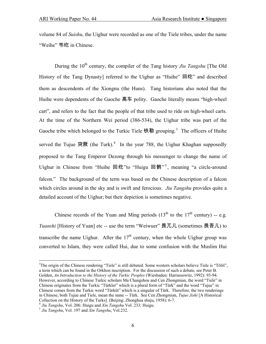volume 84 of *Suishu*, the Uighur were recorded as one of the Tiele tribes, under the name "Weihe" 韦纥 in Chinese.

During the 10<sup>th</sup> century, the compiler of the Tang history *Jiu Tangshu* [The Old] History of the Tang Dynasty] referred to the Uighur as "Huihe" 回纥" and described them as descendents of the Xiongnu (the Huns). Tang historians also noted that the Huihe were dependents of the Gaoche 高车 polity. Gaoche literally means "high-wheel cart", and refers to the fact that the people of that tribe used to ride on high-wheel carts. At the time of the Northern Wei period (386-534), the Uighur tribe was part of the Gaoche tribe which belonged to the Turkic Tiele 铁勒 grouping.<sup>[3](#page-5-0)</sup> The officers of Huihe served the Tujue 突厥 (the Turk).<sup>[4](#page-5-1)</sup> In the year 788, the Uighur Khaghan supposedly proposed to the Tang Emperor Dezong through his messenger to change the name of Uighur in Chinese from "Huihe 回纥"to "Huigu 回鹘"<sup>[5](#page-5-2)</sup>, meaning "a circle-around falcon." The background of the term was based on the Chinese description of a falcon which circles around in the sky and is swift and ferocious. *Jiu Tangshu* provides quite a detailed account of the Uighur; but their depiction is sometimes negative.

Chinese records of the Yuan and Ming periods  $(13<sup>th</sup>$  to the  $17<sup>th</sup>$  century) -- e.g. *Yuanshi* [History of Yuan] etc -- use the term "Weiwuer" 畏兀儿 (sometimes 畏吾儿) to transcribe the name Uighur. After the  $17<sup>th</sup>$  century, when the whole Uighur group was converted to Islam, they were called Hui, due to some confusion with the Muslim Hui

<span id="page-5-0"></span> $\overline{a}$ <sup>3</sup>The origin of the Chinese rendering "Tiele" is still debated. Some western scholars believe Tiele is "Töliš", a term which can be found in the Orkhon inscription. For the discussion of such a debate, see Peter B. Golden, *An Introduction to the History of the Turkic Peoples* (Wiesbaden: Harrassowitz, 1992): 93-94. However, according to Chinese Turkic scholars Ma Changshou and Cen Zhongmian, the word "Tiele" in Chinese originates from the Turkic "Türkler" which is a plural form of "Türk" and the word "Tujue" in Chinese comes from the Turkic word "Türküt" which is a singular of Türk. Therefore, the two renderings in Chinese, both Tujue and Tiele, mean the same -- Türk. See Cen Zhongmian, *Tujue Jishi* [A Historical Collection on the History of the Turks]. (Beijing: Zhonghua shuju, 1958): 6-7.

<span id="page-5-2"></span><span id="page-5-1"></span><sup>4</sup> *Jiu Tangshu*, Vol. 206: Huigu and *Xin Tangshu* Vol. 233: Huigu. 5 *Jiu Tangshu*, Vol. 197 and *Xin Tangshu*, Vol.232.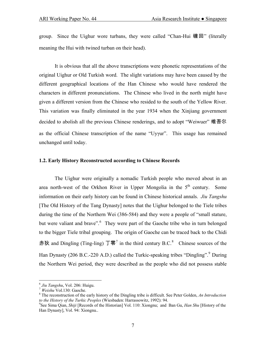group. Since the Uighur wore turbans, they were called "Chan-Hui 缠回" (literally meaning the Hui with twined turban on their head).

It is obvious that all the above transcriptions were phonetic representations of the original Uighur or Old Turkish word. The slight variations may have been caused by the different geographical locations of the Han Chinese who would have rendered the characters in different pronunciations. The Chinese who lived in the north might have given a different version from the Chinese who resided to the south of the Yellow River. This variation was finally eliminated in the year 1934 when the Xinjiang government decided to abolish all the previous Chinese renderings, and to adopt "Weiwuer" 维吾尔 as the official Chinese transcription of the name "Uyγur". This usage has remained unchanged until today.

#### **1.2. Early History Reconstructed according to Chinese Records**

The Uighur were originally a nomadic Turkish people who moved about in an area north-west of the Orkhon River in Upper Mongolia in the  $5<sup>th</sup>$  century. Some information on their early history can be found in Chinese historical annals. *Jiu Tangshu* [The Old History of the Tang Dynasty] notes that the Uighur belonged to the Tiele tribes during the time of the Northern Wei (386-584) and they were a people of "small stature, but were valiant and brave". <sup>[6](#page-6-0)</sup> They were part of the Gaoche tribe who in turn belonged to the bigger Tiele tribal grouping. The origin of Gaoche can be traced back to the Chidi 赤狄 and Dingling (Ting-ling)  $\overline{T}$ 零<sup>[7](#page-6-1)</sup> in the third century B.C.<sup>[8](#page-6-2)</sup> Chinese sources of the Han Dynasty (206 B.C.-220 A.D.) called the Turkic-speaking tribes "Dingling".<sup>[9](#page-6-3)</sup> During the Northern Wei period, they were described as the people who did not possess stable

<span id="page-6-1"></span><span id="page-6-0"></span><sup>6</sup> *Jiu Tangshu*, Vol. 206: Huigu. 7 *Weishu* Vol.130: Gaoche. 8

<span id="page-6-2"></span>The reconstruction of the early history of the Dingling tribe is difficult. See Peter Golden, *An Introduction to the History of the Turkic Peoples* (Wiesbaden: Harrassowitz, 1992): 94.

<span id="page-6-3"></span>See Sima Qian, *Shiji* [Records of the Historian] Vol. 110: Xiongnu; and Ban Gu, *Han Shu* [History of the Han Dynasty], Vol. 94: Xiongnu..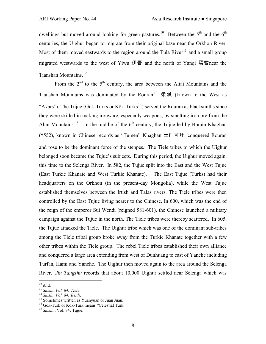dwellings but moved around looking for green pastures.<sup>[10](#page-7-0)</sup> Between the 5<sup>th</sup> and the 6<sup>th</sup> centuries, the Uighur began to migrate from their original base near the Orkhon River. Most of them moved eastwards to the region around the Tula River<sup>[11](#page-7-1)</sup> and a small group migrated westwards to the west of Yiwu 伊吾 and the north of Yanqi 焉耆near the Tianshan Mountains.[12](#page-7-2)

From the  $2<sup>nd</sup>$  to the  $5<sup>th</sup>$  century, the area between the Altai Mountains and the Tianshan Mountains was dominated by the Rouran<sup>[13](#page-7-3)</sup> 柔然 (known to the West as "Avars"). The Tujue (Gok-Turks or Kök-Turks<sup>[14](#page-7-4)</sup>) served the Rouran as blacksmiths since they were skilled in making ironware, especially weapons, by smelting iron ore from the Altai Mountains.<sup>[15](#page-7-5)</sup> In the middle of the  $6<sup>th</sup>$  century, the Tujue led by Bumin Khaghan (†552), known in Chinese records as "Tumen" Khaghan 土门可汗, conquered Rouran and rose to be the dominant force of the steppes. The Tiele tribes to which the Uighur belonged soon became the Tujue's subjects. During this period, the Uighur moved again, this time to the Selenga River. In 582, the Tujue split into the East and the West Tujue (East Turkic Khanate and West Turkic Khanate). The East Tujue (Turks) had their headquarters on the Orkhon (in the present-day Mongolia), while the West Tujue established themselves between the Irtish and Talas rivers. The Tiele tribes were then controlled by the East Tujue living nearer to the Chinese. In 600, which was the end of the reign of the emperor Sui Wendi (reigned 581-601), the Chinese launched a military campaign against the Tujue in the north. The Tiele tribes were thereby scattered. In 605, the Tujue attacked the Tiele. The Uighur tribe which was one of the dominant sub-tribes among the Tiele tribal group broke away from the Turkic Khanate together with a few other tribes within the Tiele group. The rebel Tiele tribes established their own alliance and conquered a large area extending from west of Dunhuang to east of Yanche including Turfan, Hami and Yanche. The Uighur then moved again to the area around the Selenga River. *Jiu Tangshu* records that about 10,000 Uighur settled near Selenga which was

 $\overline{a}$  $10$  ibid.

<span id="page-7-2"></span><span id="page-7-1"></span><span id="page-7-0"></span><sup>&</sup>lt;sup>11</sup> *Suishu Vol. 84: Tiele.* <sup>12</sup> *Suishu Vol. 84: Beidi.* 13 *Sometimes written as Yuanyuan or Juan Juan.* 

<span id="page-7-5"></span><span id="page-7-4"></span><span id="page-7-3"></span><sup>14</sup> Gok-Turk or Kök-Turk means "Celestial Turk". 15 *Suishu*, Vol. 84: Tujue.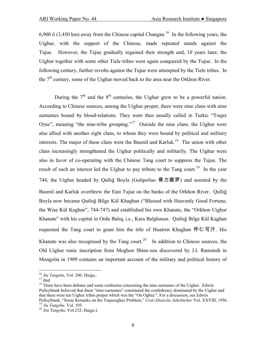6,900 *li*  $(3,450 \text{ km})$  away from the Chinese capital Changan.<sup>[16](#page-8-0)</sup> In the following years, the Uighur, with the support of the Chinese, made repeated stands against the Tujue. However, the Tujue gradually regained their strength and, 10 years later, the Uighur together with some other Tiele tribes were again conquered by the Tujue. In the following century, further revolts against the Tujue were attempted by the Tiele tribes. In the  $7<sup>th</sup>$  century, some of the Uighur moved back to the area near the Orkhon River.

During the  $7<sup>th</sup>$  and the  $8<sup>th</sup>$  centuries, the Uighur grew to be a powerful nation. According to Chinese sources, among the Uighur proper, there were nine clans with nine surnames bound by blood-relations. They were thus usually called in Turkic "Toquz Oγuz", meaning "the nine-tribe grouping."[17](#page-8-1) Outside the nine clans, the Uighur were also allied with another eight clans, to whom they were bound by political and military interests. The major of these clans were the Basmil and Karluk.<sup>[18](#page-8-2)</sup> The union with other clans increasingly strengthened the Uighur politically and militarily. The Uighur were also in favor of co-operating with the Chinese Tang court to suppress the Tujue. The result of such an interest led the Uighur to pay tribute to the Tang court.<sup>[19](#page-8-3)</sup> In the year 744, the Uighur headed by Qullığ Boyla (Gulipeiluo 骨力裴罗) and assisted by the Basmil and Karluk overthrew the East Tujue on the banks of the Orkhon River. Qullığ Boyla now became Qutluğ Bilge Kül Khaghan ("Blessed with Heavenly Good Fortune, the Wise Kül Kaghan", 744-747) and established his own Khanate, the "Orkhon Uighur Khanate" with his capital in Ordu Balıq, i.e., Kara Balghasun. Qutluğ Bilge Kül Kaghan requested the Tang court to grant him the title of Huairen Khaghan 怀仁可汗. His Khanate was also recognised by the Tang court.<sup>[20](#page-8-4)</sup> In addition to Chinese sources, the Old Uighur runic inscription from Moghon Shine-usu discovered by J.I. Ramstedt in Mongolia in 1909 contains an important account of the military and political history of

<span id="page-8-0"></span><sup>&</sup>lt;sup>16</sup> *Jiu Tangshu*, Vol. 206: Huigu..<br><sup>17</sup> ibid.

<span id="page-8-2"></span><span id="page-8-1"></span> $18$  There have been debates and some confusion concerning the nine surnames of the Uighur. Edwin Pulleyblank believed that these "nine-surnames" constituted the confederacy dominated by the Uighur and that there were ten Uighur tribes proper which was the "On Oghuz ". For a discussion, see Edwin Pulleyblank, "Some Remarks on the Toquzoghuz Problem," *Ural-Altaische Jahrbücher* Vol. XXVIII, 1956. 19 *Jiu Tangshu,* Vol. 195. 20 *Xin Tangshu,* Vol.232: Huigu I.

<span id="page-8-4"></span><span id="page-8-3"></span>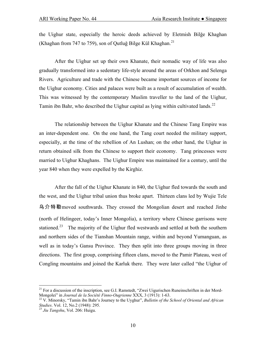the Uighur state, especially the heroic deeds achieved by Eletmish Bilğe Khaghan (Khaghan from 747 to 759), son of Qutluğ Bilge Kül Khaghan.<sup>[21](#page-9-0)</sup>

After the Uighur set up their own Khanate, their nomadic way of life was also gradually transformed into a sedentary life-style around the areas of Orkhon and Selenga Rivers. Agriculture and trade with the Chinese became important sources of income for the Uighur economy. Cities and palaces were built as a result of accumulation of wealth. This was witnessed by the contemporary Muslim traveller to the land of the Uighur, Tamin ibn Bahr, who described the Uighur capital as lying within cultivated lands.<sup>[22](#page-9-1)</sup>

The relationship between the Uighur Khanate and the Chinese Tang Empire was an inter-dependent one. On the one hand, the Tang court needed the military support, especially, at the time of the rebellion of An Lushan; on the other hand, the Uighur in return obtained silk from the Chinese to support their economy. Tang princesses were married to Uighur Khaghans. The Uighur Empire was maintained for a century, until the year 840 when they were expelled by the Kirghiz.

After the fall of the Uighur Khanate in 840, the Uighur fled towards the south and the west, and the Uighur tribal union thus broke apart. Thirteen clans led by Wujie Tele 乌介特勒moved southwards. They crossed the Mongolian desert and reached Jinhe (north of Helingeer, today's Inner Mongolia), a territory where Chinese garrisons were stationed.<sup>[23](#page-9-2)</sup> The majority of the Uighur fled westwards and settled at both the southern and northern sides of the Tianshan Mountain range, within and beyond Yumanguan, as well as in today's Gansu Province. They then split into three groups moving in three directions. The first group, comprising fifteen clans, moved to the Pamir Plateau, west of Congling mountains and joined the Karluk there. They were later called "the Uighur of

<span id="page-9-0"></span> $21$  For a discussion of the inscription, see G.I. Ramstedt, "Zwei Uigurischen Runeinschriften in der Mord-Mongolei" in *Journal de la Société Finno-Ougrienne* XXX, 3 (1913): 1-63. 22 V. Minorsky, "Tamin ibn Bahr's Journey to the Uyghur", *Bulletin of the School of Oriental and African* 

<span id="page-9-1"></span>*Studies*. Vol. 12, No.2 (1948): 295. 23 *Jiu Tangshu*, Vol. 206: Huigu.

<span id="page-9-2"></span>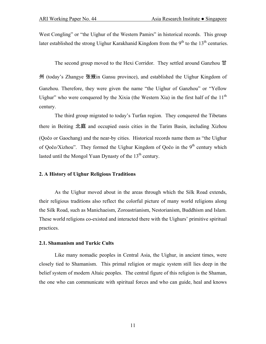West Congling" or "the Uighur of the Western Pamirs" in historical records. This group later established the strong Uighur Karakhanid Kingdom from the  $9<sup>th</sup>$  to the 13<sup>th</sup> centuries.

The second group moved to the Hexi Corridor. They settled around Ganzhou 甘

州 (today's Zhangye 张掖in Gansu province), and established the Uighur Kingdom of Ganzhou. Therefore, they were given the name "the Uighur of Ganzhou" or "Yellow Uighur" who were conquered by the Xixia (the Western Xia) in the first half of the  $11<sup>th</sup>$ century.

The third group migrated to today's Turfan region. They conquered the Tibetans there in Beiting 北庭 and occupied oasis cities in the Tarim Basin, including Xizhou (Qočo or Gaochang) and the near-by cities. Historical records name them as "the Uighur of Qočo/Xizhou". They formed the Uighur Kingdom of Qočo in the 9<sup>th</sup> century which lasted until the Mongol Yuan Dynasty of the  $13<sup>th</sup>$  century.

#### **2. A History of Uighur Religious Traditions**

As the Uighur moved about in the areas through which the Silk Road extends, their religious traditions also reflect the colorful picture of many world religions along the Silk Road, such as Manichaeism, Zoroastrianism, Nestorianism, Buddhism and Islam. These world religions co-existed and interacted there with the Uighurs' primitive spiritual practices.

#### **2.1. Shamanism and Turkic Cults**

Like many nomadic peoples in Central Asia, the Uighur, in ancient times, were closely tied to Shamanism. This primal religion or magic system still lies deep in the belief system of modern Altaic peoples. The central figure of this religion is the Shaman, the one who can communicate with spiritual forces and who can guide, heal and knows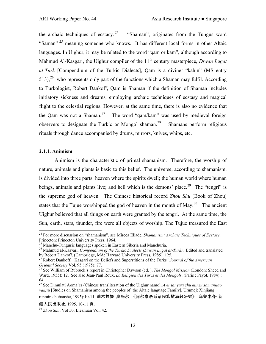the archaic techniques of ecstasy. <sup>[24](#page-11-0)</sup> "Shaman", originates from the Tungus word "Saman"<sup>[25](#page-11-1)</sup> meaning someone who knows. It has different local forms in other Altaic languages. In Uighur, it may be related to the word "qam or kam", although according to Mahmud Al-Kasgari, the Uighur compiler of the 11<sup>th</sup> century masterpiece, *Diwan Lugat at-Turk* [Compendium of the Turkic Dialects], Qam is a diviner "kāhin" (MS entry  $513$ ,<sup>[26](#page-11-2)</sup> who represents only part of the functions which a Shaman may fulfil. According to Turkologist, Robert Dankoff, Qam is Shaman if the definition of Shaman includes initiatory sickness and dreams, employing archaic techniques of ecstasy and magical flight to the celestial regions. However, at the same time, there is also no evidence that the Oam was not a Shaman.<sup>[27](#page-11-3)</sup> The word "qam/kam" was used by medieval foreign observers to designate the Turkic or Mongol shaman.<sup>[28](#page-11-4)</sup> Shamans perform religious rituals through dance accompanied by drums, mirrors, knives, whips, etc.

#### **2.1.1. Animism**

 $\overline{a}$ 

Animism is the characteristic of primal shamanism. Therefore, the worship of nature, animals and plants is basic to this belief. The universe, according to shamanism, is divided into three parts: heaven where the spirits dwell; the human world where human beings, animals and plants live; and hell which is the demons' place.<sup>[29](#page-11-5)</sup> The "tengri" is the supreme god of heaven. The Chinese historical record *Zhou Shu* [Book of Zhou] states that the Tujue worshipped the god of heaven in the month of May. $30^{\circ}$  $30^{\circ}$  The ancient Uighur believed that all things on earth were granted by the tengri. At the same time, the Sun, earth, stars, thunder, fire were all objects of worship. The Tujue treasured the East

<span id="page-11-0"></span><sup>24</sup> For more discussion on "shamanism", see Mircea Eliade, *Shamanism: Archaic Techniques of Ecstasy*, Princeton: Princeton University Press, 1964.

<span id="page-11-1"></span><sup>&</sup>lt;sup>25</sup> Manchu-Tungusic languages spoken in Eastern Siberia and Manchuria.

<span id="page-11-2"></span><sup>26</sup> Mahmud al-Kasγari. *Compendium of the Turkic Dialects (Diwan Lugat at-Turk)*. Edited and translated by Robert Dankoff. (Cambridge, MA: Harvard University Press, 1985): 125.

<span id="page-11-3"></span><sup>&</sup>lt;sup>27</sup> Robert Dankoff, "Kasgari on the Beliefs and Superstitions of the Turks" *Journal of the American Oriental Society* Vol. 95 (1975): 77.

<span id="page-11-4"></span><sup>&</sup>lt;sup>28</sup> See William of Rubruck's report in Christopher Dawson (ed. ), *The Mongol Mission* (London: Sheed and Ward, 1955): 12. See also Jean-Paul Roux, *La Religion des Turcs et des Mongols*. (Paris : Payot, 1984) : 64.

<span id="page-11-5"></span><sup>29</sup> See Dimulati Aoma'er (Chinese transliteration of the Uighur name), *A er tai yuxi zhu minzu samanjiao yanjiu* [Studies on Shamanism among the peoples of the Altaic language Family]. Urumqi: Xinjiang renmin chubanshe, 1995):10-11. 迪木拉提. 奥玛尔, 《阿尔泰语系诸民族撒满教研究》. 乌鲁木齐: 新

<span id="page-11-6"></span>疆人民出版社, 1995. 10-11 页.<br><sup>30</sup> *Zhou Shu*, Vol 50. Liezhuan Vol. 42.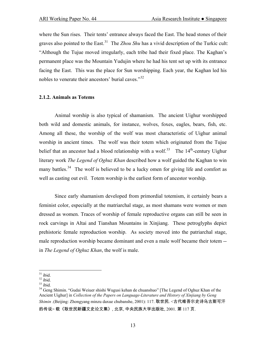where the Sun rises. Their tents' entrance always faced the East. The head stones of their graves also pointed to the East.<sup>[31](#page-12-0)</sup> The *Zhou Shu* has a vivid description of the Turkic cult: "Although the Tujue moved irregularly, each tribe had their fixed place. The Kaghan's permanent place was the Mountain Yudujin where he had his tent set up with its entrance facing the East. This was the place for Sun worshipping. Each year, the Kaghan led his nobles to venerate their ancestors' burial caves."[32](#page-12-1)

#### **2.1.2. Animals as Totems**

Animal worship is also typical of shamanism. The ancient Uighur worshipped both wild and domestic animals, for instance, wolves, foxes, eagles, bears, fish, etc. Among all these, the worship of the wolf was most characteristic of Uighur animal worship in ancient times. The wolf was their totem which originated from the Tujue belief that an ancestor had a blood relationship with a wolf.<sup>[33](#page-12-2)</sup> The  $14<sup>th</sup>$ -century Uighur literary work *The Legend of Oghuz Khan* described how a wolf guided the Kaghan to win many battles.<sup>[34](#page-12-3)</sup> The wolf is believed to be a lucky omen for giving life and comfort as well as casting out evil. Totem worship is the earliest form of ancestor worship.

Since early shamanism developed from primordial totemism, it certainly bears a feminist color, especially at the matriarchal stage, as most shamans were women or men dressed as women. Traces of worship of female reproductive organs can still be seen in rock carvings in Altai and Tianshan Mountains in Xinjiang. These petroglyphs depict prehistoric female reproduction worship. As society moved into the patriarchal stage, male reproduction worship became dominant and even a male wolf became their totem - in *The Legend of Oghuz Khan*, the wolf is male.

 $\overline{a}$  $31$  ibid.

<span id="page-12-1"></span><span id="page-12-0"></span> $32$  ibid.

 $33$  ibid.

<span id="page-12-3"></span><span id="page-12-2"></span><sup>&</sup>lt;sup>34</sup> Geng Shimin. "Gudai Weiuer shishi Wugusi kehan de chuanshuo" [The Legend of Oghuz Khan of the Ancient Uighur] in *Collection of the Papers on Language-Literature and History of Xinjiang by Geng Shimin .*(Beijing: Zhongyang minzu daxue chubanshe, 2001): 117. 耿世民. <古代维吾尔史诗乌古斯可汗 的传说> 载《耿世民新疆文史论文集》, 北京, 中央民族大学出版社, 2001. 第 117 页.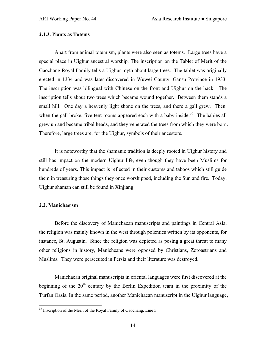#### **2.1.3. Plants as Totems**

Apart from animal totemism, plants were also seen as totems. Large trees have a special place in Uighur ancestral worship. The inscription on the Tablet of Merit of the Gaochang Royal Family tells a Uighur myth about large trees. The tablet was originally erected in 1334 and was later discovered in Wuwei County, Gansu Province in 1933. The inscription was bilingual with Chinese on the front and Uighur on the back. The inscription tells about two trees which became wound together. Between them stands a small hill. One day a heavenly light shone on the trees, and there a gall grew. Then, when the gall broke, five tent rooms appeared each with a baby inside.<sup>[35](#page-13-0)</sup> The babies all grew up and became tribal heads, and they venerated the trees from which they were born. Therefore, large trees are, for the Uighur, symbols of their ancestors.

It is noteworthy that the shamanic tradition is deeply rooted in Uighur history and still has impact on the modern Uighur life, even though they have been Muslims for hundreds of years. This impact is reflected in their customs and taboos which still guide them in treasuring those things they once worshipped, including the Sun and fire. Today, Uighur shaman can still be found in Xinjiang.

#### **2.2. Manichaeism**

 $\overline{a}$ 

Before the discovery of Manichaean manuscripts and paintings in Central Asia, the religion was mainly known in the west through polemics written by its opponents, for instance, St. Augustin. Since the religion was depicted as posing a great threat to many other religions in history, Manicheans were opposed by Christians, Zoroastrians and Muslims. They were persecuted in Persia and their literature was destroyed.

Manichaean original manuscripts in oriental languages were first discovered at the beginning of the  $20<sup>th</sup>$  century by the Berlin Expedition team in the proximity of the Turfan Oasis. In the same period, another Manichaean manuscript in the Uighur language,

<span id="page-13-0"></span><sup>&</sup>lt;sup>35</sup> Inscription of the Merit of the Royal Family of Gaochang. Line 5.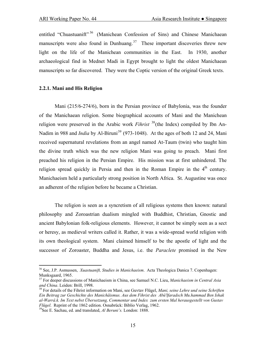entitled "Chuastuanift"<sup>[36](#page-14-0)</sup> (Manichean Confession of Sins) and Chinese Manichaean manuscripts were also found in Dunhuang.<sup>[37](#page-14-1)</sup> These important discoveries threw new light on the life of the Manichean communities in the East. In 1930, another archaeological find in Mednet Madi in Egypt brought to light the oldest Manichaean manuscripts so far discovered. They were the Coptic version of the original Greek texts.

#### **2.2.1. Mani and His Religion**

Mani (215/6-274/6), born in the Persian province of Babylonia, was the founder of the Manichaean religion. Some biographical accounts of Mani and the Manichean religion were preserved in the Arabic work *Fihrist* <sup>[38](#page-14-2)</sup>(the Index) compiled by Ibn An-Nadim in 988 and *India* by Al-Biruni<sup>[39](#page-14-3)</sup> (973-1048). At the ages of both 12 and 24, Mani received supernatural revelations from an angel named At-Taum (twin) who taught him the divine truth which was the new religion Mani was going to preach. Mani first preached his religion in the Persian Empire. His mission was at first unhindered. The religion spread quickly in Persia and then in the Roman Empire in the  $4<sup>th</sup>$  century. Manichaeism held a particularly strong position in North Africa. St. Augustine was once an adherent of the religion before he became a Christian.

 The religion is seen as a syncretism of all religious systems then known: natural philosophy and Zoroastrian dualism mingled with Buddhist, Christian, Gnostic and ancient Babylonian folk-religious elements. However, it cannot be simply seen as a sect or heresy, as medieval writers called it. Rather, it was a wide-spread world religion with its own theological system. Mani claimed himself to be the apostle of light and the successor of Zoroaster, Buddha and Jesus, i.e. the *Paraclete* promised in the New

<span id="page-14-0"></span><sup>36</sup> See, J.P. Asmussen, *Xuastuanift, Studies in Manichaeism*. Acta Theologica Danica 7. Copenhagen: Munksgaard, 1965.

<span id="page-14-1"></span><sup>37</sup> For deeper discussions of Manichaeism in China, see Samuel N.C. Lieu, *Manichaeism in Central Asia* 

<span id="page-14-2"></span><sup>&</sup>lt;sup>38</sup> For details of the Fihrist information on Mani, see Guvtav Flügel, *Mani, seine Lehre und seine Schriften Ein Beitrag zur Geschichte des Manichäismus. Aus dem Fihrist des Abû'lfaradsch Mu.hammad Ben Ishak al-Warrâ.k. Im Text nebst Übersetzung, Commentar und Index zum ersten Mal herausgestellt von Gustav Flügel.* Reprint of the 1862 edition. Osnabrück: Biblio Verlag, 1962. <sup>39</sup>See E. Sachau, ed. and translated, *Al Beruni's*. London: 1888.

<span id="page-14-3"></span>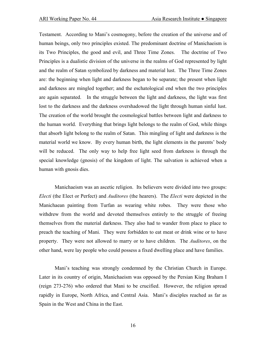Testament. According to Mani's cosmogony, before the creation of the universe and of human beings, only two principles existed. The predominant doctrine of Manichaeism is its Two Principles, the good and evil, and Three Time Zones. The doctrine of Two Principles is a dualistic division of the universe in the realms of God represented by light and the realm of Satan symbolized by darkness and material lust. The Three Time Zones are: the beginning when light and darkness began to be separate; the present when light and darkness are mingled together; and the eschatological end when the two principles are again separated. In the struggle between the light and darkness, the light was first lost to the darkness and the darkness overshadowed the light through human sinful lust. The creation of the world brought the cosmological battles between light and darkness to the human world. Everything that brings light belongs to the realm of God, while things that absorb light belong to the realm of Satan. This mingling of light and darkness is the material world we know. By every human birth, the light elements in the parents' body will be reduced. The only way to help free light seed from darkness is through the special knowledge (gnosis) of the kingdom of light. The salvation is achieved when a human with gnosis dies.

 Manichaeism was an ascetic religion. Its believers were divided into two groups: *Electi* (the Elect or Perfect) and *Auditores* (the hearers). The *Electi* were depicted in the Manichaean painting from Turfan as wearing white robes. They were those who withdrew from the world and devoted themselves entirely to the struggle of freeing themselves from the material darkness. They also had to wander from place to place to preach the teaching of Mani. They were forbidden to eat meat or drink wine or to have property. They were not allowed to marry or to have children. The *Auditores*, on the other hand, were lay people who could possess a fixed dwelling place and have families.

Mani's teaching was strongly condemned by the Christian Church in Europe. Later in its country of origin, Manichaeism was opposed by the Persian King Braham I (reign 273-276) who ordered that Mani to be crucified. However, the religion spread rapidly in Europe, North Africa, and Central Asia. Mani's disciples reached as far as Spain in the West and China in the East.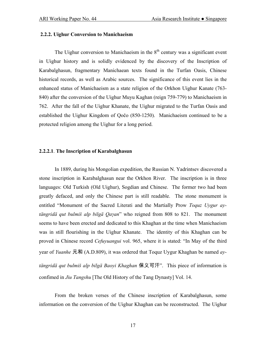#### **2.2.2. Uighur Conversion to Manichaeism**

The Uighur conversion to Manichaeism in the  $8<sup>th</sup>$  century was a significant event in Uighur history and is solidly evidenced by the discovery of the Inscription of Karabalghasun, fragmentary Manichaean texts found in the Turfan Oasis, Chinese historical records, as well as Arabic sources. The significance of this event lies in the enhanced status of Manichaeism as a state religion of the Orkhon Uighur Kanate (763- 840) after the conversion of the Uighur Muyu Kaghan (reign 759-779) to Manichaeism in 762. After the fall of the Uighur Khanate, the Uighur migrated to the Turfan Oasis and established the Uighur Kingdom of Qočo (850-1250). Manichaeism continued to be a protected religion among the Uighur for a long period.

#### **2.2.2.1**. **The Inscription of Karabalghasun**

In 1889, during his Mongolian expedition, the Russian N. Yadrintsev discovered a stone inscription in Karabalghasun near the Orkhon River. The inscription is in three languages: Old Turkish (Old Uighur), Sogdian and Chinese. The former two had been greatly defaced, and only the Chinese part is still readable. The stone monument is entitled "Monument of the Sacred Literati and the Martially Prow *Toquz Uygur aytängridä qut bulmiš alp bilgä Qaγan*" who reigned from 808 to 821. The monument seems to have been erected and dedicated to this Khaghan at the time when Manichaeism was in still flourishing in the Uighur Khanate. The identity of this Khaghan can be proved in Chinese record *Cefuyuangui* vol. 965, where it is stated: "In May of the third year of *Yuanhe* 元和 (A.D.809), it was ordered that Toquz Uygur Khaghan be named *aytängridä qut bulmiš alp bilgä Baoyi Khaghan* 保义可汗". This piece of information is confimed in *Jiu Tangshu* [The Old History of the Tang Dynasty] Vol. 14.

From the broken verses of the Chinese inscription of Karabalghasun, some information on the conversion of the Uighur Khaghan can be reconstructed. The Uighur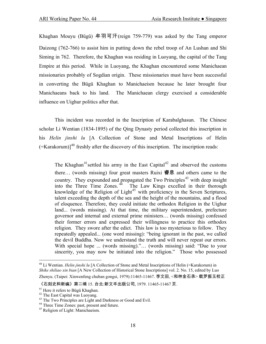Khaghan Mouyu (Bügü) 牟羽可汗(reign 759-779) was asked by the Tang emperor Daizong (762-766) to assist him in putting down the rebel troop of An Lushan and Shi Siming in 762. Therefore, the Khaghan was residing in Luoyang, the capital of the Tang Empire at this period. While in Luoyang, the Khaghan encountered some Manichaean missionaries probably of Sogdian origin. These missionaries must have been successful in converting the Bügü Khaghan to Manichaeism because he later brought four Manichaeans back to his land. The Manichaean clergy exercised a considerable influence on Uighur politics after that.

This incident was recorded in the Inscription of Karabalghasun. The Chinese scholar Li Wentian (1834-1895) of the Qing Dynasty period collected this inscription in his *Helin jinshi lu* [A Collection of Stone and Metal Inscriptions of Helin  $(=$ Karakorum)]<sup>[40](#page-17-0)</sup> freshly after the discovery of this inscription. The inscription reads:

The Khaghan<sup>[41](#page-17-1)</sup> settled his army in the East Capital<sup>[42](#page-17-2)</sup> and observed the customs there... (words missing) four great masters Ruixi 睿息 and others came to the country. They expounded and propagated the Two Principles<sup>[43](#page-17-3)</sup> with deep insight into the Three Time Zones.<sup>[44](#page-17-4)</sup> The Law Kings excelled in their thorough knowledge of the Religion of Light<sup>[45](#page-17-5)</sup> with proficiency in the Seven Scriptures, talent exceeding the depth of the sea and the height of the mountains, and a flood of eloquence. Therefore, they could initiate the orthodox Religion in the Uighur land... (words missing). At that time, the military superintendent, prefecture governor and internal and external prime ministers… (words missing) confessed their former errors and expressed their willingness to practice this orthodox religion. They swore after the edict. This law is too mysterious to follow. They repeatedly appealed... (one word missing): "being ignorant in the past, we called the devil Buddha. Now we understand the truth and will never repeat our errors. With special hope ... (words missing)."… (words missing) said: "Due to your sincerity, you may now be initiated into the religion." Those who possessed

<span id="page-17-0"></span><sup>40</sup> Li Wentian. *Helin jinshi lu* [A Collection of Stone and Metal Inscriptions of Helin (=Karakorum) in *Shike shiliao xin bian* [A New Collection of Historical Stone Inscriptions] vol. 2. No. 15, edited by Luo Zhenyu. (Taipei: Xinwenfeng chuban gongsi, 1979):11465-11467. 李文田, <和林金石录> 载罗振玉校正

<sup>《</sup>石刻史料新编》第二缉 15. 台北:新文丰出版公司, 1979. 11465-11467 页.<br><sup>41</sup> Here it refers to Bügü Khaghan.

<span id="page-17-2"></span><span id="page-17-1"></span><sup>&</sup>lt;sup>42</sup> The East Capital was Luoyang.

<span id="page-17-3"></span><sup>&</sup>lt;sup>43</sup> The Two Principles are Light and Darkness or Good and Evil.<br><sup>44</sup> Three Time Zones: past, present and future.

<span id="page-17-5"></span><span id="page-17-4"></span><sup>45</sup> Religion of Light: Manichaeism.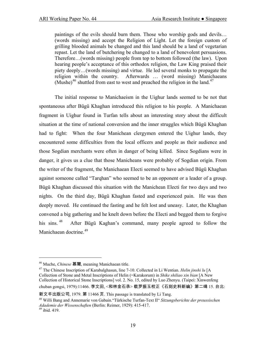paintings of the evils should burn them. Those who worship gods and devils… (words missing) and accept the Religion of Light. Let the foreign custom of grilling blooded animals be changed and this land should be a land of vegetarian repast. Let the land of butchering be changed to a land of benevolent persuasions. Therefore…(words missing) people from top to bottom followed (the law). Upon hearing people's acceptance of this orthodox religion, the Law King praised their piety deeply…(words missing) and virtue. He led several monks to propagate the religion within the country. Afterwards … (word missing) Manichaeans (Mushe)<sup>[46](#page-18-0)</sup> shuttled from east to west and preached the religion in the land.<sup>[47](#page-18-1)</sup>

 The initial response to Manichaeism in the Uighur lands seemed to be not that spontaneous after Bügü Khaghan introduced this religion to his people. A Manichaean fragment in Uighur found in Turfan tells about an interesting story about the difficult situation at the time of national conversion and the inner struggles which Bügü Khaghan had to fight: When the four Manichean clergymen entered the Uighur lands, they encountered some difficulties from the local officers and people as their audience and those Sogdian merchants were often in danger of being killed. Since Sogdians were in danger, it gives us a clue that those Manicheans were probably of Sogdian origin. From the writer of the fragment, the Manichaean Electi seemed to have advised Bügü Khaghan against someone called "Tarqhan" who seemed to be an opponent or a leader of a group. Bügü Khaghan discussed this situation with the Manichean Electi for two days and two nights. On the third day, Bügü Khaghan fasted and experienced pain. He was then deeply moved. He continued the fasting and he felt lost and uneasy. Later, the Khaghan convened a big gathering and he knelt down before the Electi and begged them to forgive his sins. <sup>[48](#page-18-2)</sup> After Bügü Kaghan's command, many people agreed to follow the Manichaean doctrine.<sup>[49](#page-18-3)</sup>

<span id="page-18-1"></span><span id="page-18-0"></span><sup>&</sup>lt;sup>46</sup> Muche, *Chinese* 慕闍, meaning Manichaean title.<br><sup>47</sup> The Chinese Inscription of Karabalghasun, line 7-10. Collected in Li Wentian. *Helin jinshi lu* [A] Collection of Stone and Metal Inscriptions of Helin (=Karakorum) in *Shike shiliao xin bian* [A New Collection of Historical Stone Inscriptions] vol. 2. No. 15, edited by Luo Zhenyu. (Taipei: Xinwenfeng chuban gongsi, 1979):11466. 李文田, <和林金石录> 载罗振玉校正《石刻史料新编》第二缉 15. 台北:

<span id="page-18-3"></span><span id="page-18-2"></span>新文丰出版公司, 1979. <sup>第</sup> <sup>11466</sup> <sup>页</sup>. This passage is translated by Li Tang. 48 Willi Bang and Annemarie von Gabain."Türkische Turfan-Text II" *Sitzungsberichte der preussischen Adademie der Wissenschaften* (Berlin: Reimer, 1929): 415-417. 49 ibid. 419.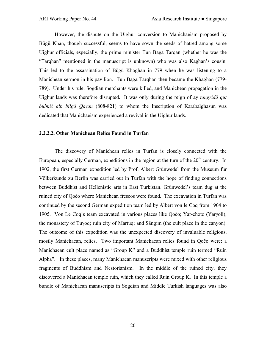However, the dispute on the Uighur conversion to Manichaeism proposed by Bügü Khan, though successful, seems to have sown the seeds of hatred among some Uighur officials, especially, the prime minister Tun Baga Tarqan (whether he was the "Tarqhan" mentioned in the manuscript is unknown) who was also Kaghan's cousin. This led to the assassination of Bügü Khaghan in 779 when he was listening to a Manichean sermon in his pavilion. Tun Baga Tarqhan then became the Khaghan (779- 789). Under his rule, Sogdian merchants were killed, and Manichean propagation in the Uighur lands was therefore disrupted. It was only during the reign of ay *tängridä qut bulmiš alp bilgä Qaγan* (808-821) to whom the Inscription of Karabalghasun was dedicated that Manichaeism experienced a revival in the Uighur lands.

#### **2.2.2.2. Other Manichean Relics Found in Turfan**

The discovery of Manichean relics in Turfan is closely connected with the European, especially German, expeditions in the region at the turn of the  $20<sup>th</sup>$  century. In 1902, the first German expedition led by Prof. Albert Grünwedel from the Museum für Völkerkunde zu Berlin was carried out in Turfan with the hope of finding connections between Buddhist and Hellenistic arts in East Turkistan. Grünwedel's team dug at the ruined city of Qočo where Manichean frescos were found. The excavation in Turfan was continued by the second German expedition team led by Albert von le Coq from 1904 to 1905. Von Le Coq's team excavated in various places like Qočo; Yar-choto (Yarγoli); the monastery of Tuγoq; ruin city of Martuq; and Sängim (the cult place in the canyon). The outcome of this expedition was the unexpected discovery of invaluable religious, mostly Manichaean, relics. Two important Manichaean relics found in Qočo were: a Manichaean cult place named as "Group K" and a Buddhist temple ruin termed "Ruin Alpha". In these places, many Manichaean manuscripts were mixed with other religious fragments of Buddhism and Nestorianism. In the middle of the ruined city, they discovered a Manichaean temple ruin, which they called Ruin Group K. In this temple a bundle of Manichaean manuscripts in Sogdian and Middle Turkish languages was also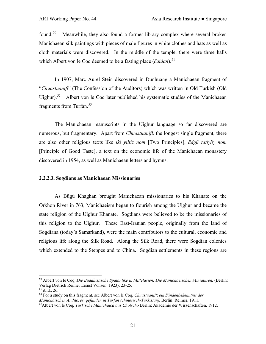found.<sup>[50](#page-20-0)</sup> Meanwhile, they also found a former library complex where several broken Manichaean silk paintings with pieces of male figures in white clothes and hats as well as cloth materials were discovered. In the middle of the temple, there were three halls which Albert von le Coq deemed to be a fasting place (*čaidan*).<sup>[51](#page-20-1)</sup>

In 1907, Marc Aurel Stein discovered in Dunhuang a Manichaean fragment of "*Chuastuanift*" (The Confession of the Auditors) which was written in Old Turkish (Old Uighur).<sup>[52](#page-20-2)</sup> Albert von le Coq later published his systematic studies of the Manichaean fragments from Turfan.<sup>[53](#page-20-3)</sup>

The Manichaean manuscripts in the Uighur language so far discovered are numerous, but fragmentary. Apart from *Chuastuanift,* the longest single fragment, there are also other religious texts like *iki yiltiz nom* [Two Principles], *ädgü tatiγliγ nom* [Principle of Good Taste], a text on the economic life of the Manichaean monastery discovered in 1954, as well as Manichaean letters and hymns.

#### **2.2.2.3. Sogdians as Manichaean Missionaries**

As Bügü Khaghan brought Manichaean missionaries to his Khanate on the Orkhon River in 763, Manichaeism began to flourish among the Uighur and became the state religion of the Uighur Khanate. Sogdians were believed to be the missionaries of this religion to the Uighur. These East-Iranian people, originally from the land of Sogdiana (today's Samarkand), were the main contributors to the cultural, economic and religious life along the Silk Road. Along the Silk Road, there were Sogdian colonies which extended to the Steppes and to China. Sogdian settlements in these regions are

<span id="page-20-0"></span><sup>50</sup> Albert von le Coq. *Die Buddhistische Spätantike in Mittelasien: Die Manichaeischen Miniaturen.* (Berlin: Verlag Dietrich Reimer Ersnst Vohsen, 1923): 23-25.

<span id="page-20-1"></span><sup>51</sup> ibid., 26.

<span id="page-20-2"></span><sup>52</sup> For a study on this fragment, see Albert von le Coq, *Chuastuanift*: *ein Sündenbekenntnis der* 

<span id="page-20-3"></span>*Manichäischen Auditores, gefunden in Turfan (chinesisch-Turkistan).* Berlin: Reimer, 1911. 53Albert von le Coq, *Türkische Manichäica aus Chotscho* Berlin: Akademie der Wissenschaften, 1912.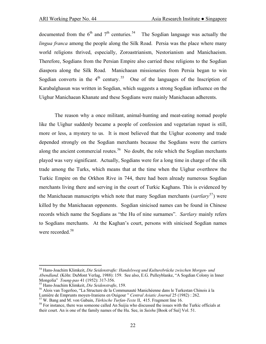documented from the  $6<sup>th</sup>$  and  $7<sup>th</sup>$  centuries.<sup>[54](#page-21-0)</sup> The Sogdian language was actually the *lingua franca* among the people along the Silk Road. Persia was the place where many world religions thrived, especially, Zoroastrianism, Nestorianism and Manichaeism. Therefore, Sogdians from the Persian Empire also carried these religions to the Sogdian diaspora along the Silk Road. Manichaean missionaries from Persia began to win Sogdian converts in the  $4<sup>th</sup>$  century.<sup>[55](#page-21-1)</sup> One of the languages of the Inscription of Karabalghasun was written in Sogdian, which suggests a strong Sogdian influence on the Uighur Manichaean Khanate and these Sogdians were mainly Manichaean adherents.

The reason why a once militant, animal-hunting and meat-eating nomad people like the Uighur suddenly became a people of confession and vegetarian repast is still, more or less, a mystery to us. It is most believed that the Uighur economy and trade depended strongly on the Sogdian merchants because the Sogdians were the carriers along the ancient commercial routes.<sup>[56](#page-21-2)</sup> No doubt, the role which the Sogdian merchants played was very significant. Actually, Sogdians were for a long time in charge of the silk trade among the Turks, which means that at the time when the Uighur overthrew the Turkic Empire on the Orkhon Rive in 744, there had been already numerous Sogdian merchants living there and serving in the court of Turkic Kaghans. This is evidenced by the Manichaean manuscripts which note that many Sogdian merchants (*sartlary*[57](#page-21-3)) were killed by the Manichaean opponents. Sogdian sinicised names can be found in Chinese records which name the Sogdians as "the Hu of nine surnames". *Sartlary* mainly refers to Sogdians merchants. At the Kaghan's court, persons with sinicised Sogdian names were recorded. $58$ 

<span id="page-21-0"></span> $\overline{a}$ 54 Hans-Joachim Klimkeit, *Die Seidenstraße: Handelsweg und Kulturebrücke zwischen Morgen- und Abendland.* (Köln: DuMont Verlag, 1988): 159. See also, E.G. Pulleyblanke, "A Sogdian Colony in Inner

<span id="page-21-2"></span><span id="page-21-1"></span><sup>&</sup>lt;sup>55</sup> Hans-Joachim Klimkeit, *Die Seidenstraße*, 159.<br><sup>56</sup> Alois van Togerloo, "La Structure de la Communauté Manichéenne dans le Turkestan Chinois à la Lumière de Emprunts moyen-Iraniens en Ouigour " Central Asiatic Journal 25 (1982) : 262.<br><sup>57</sup> W. Bang and M. von Gabain, *Türkische Turfan-Texte* II, 415. Fragment line 16.<br><sup>58</sup> For instance, there was someone called An Su

<span id="page-21-3"></span>

<span id="page-21-4"></span>their court. An is one of the family names of the Hu. See, in *Suishu* [Book of Sui] Vol. 51.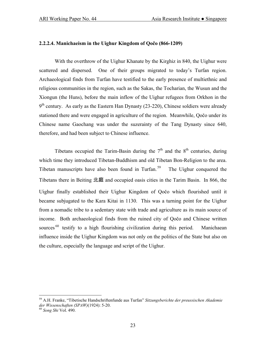#### **2.2.2.4. Manichaeism in the Uighur Kingdom of Qočo (866-1209)**

With the overthrow of the Uighur Khanate by the Kirghiz in 840, the Uighur were scattered and dispersed. One of their groups migrated to today's Turfan region. Archaeological finds from Turfan have testified to the early presence of multiethnic and religious communities in the region, such as the Sakas, the Tocharian, the Wusun and the Xiongun (the Huns), before the main inflow of the Uighur refugees from Orkhon in the  $9<sup>th</sup>$  century. As early as the Eastern Han Dynasty (23-220), Chinese soldiers were already stationed there and were engaged in agriculture of the region. Meanwhile, Qočo under its Chinese name Gaochang was under the suzerainty of the Tang Dynasty since 640, therefore, and had been subject to Chinese influence.

Tibetans occupied the Tarim-Basin during the  $7<sup>th</sup>$  and the  $8<sup>th</sup>$  centuries, during which time they introduced Tibetan-Buddhism and old Tibetan Bon-Religion to the area. Tibetan manuscripts have also been found in Turfan.<sup>[59](#page-22-0)</sup> The Uighur conquered the Tibetans there in Beiting 北庭 and occupied oasis cities in the Tarim Basin. In 866, the Uighur finally established their Uighur Kingdom of Qočo which flourished until it became subjugated to the Kara Kitai in 1130. This was a turning point for the Uighur from a nomadic tribe to a sedentary state with trade and agriculture as its main source of income. Both archaeological finds from the ruined city of Qočo and Chinese written sources<sup>[60](#page-22-1)</sup> testify to a high flourishing civilization during this period. Manichaean influence inside the Uighur Kingdom was not only on the politics of the State but also on the culture, especially the language and script of the Uighur.

<span id="page-22-0"></span><sup>59</sup> A.H. Franke, "Tibetische Handschriftenfunde aus Turfan" *Sitzungsberichte der preussischen Akademie der Wissenschaften (SPAW)*(1924): 5-20. 60 *Song Shi* Vol. 490.

<span id="page-22-1"></span>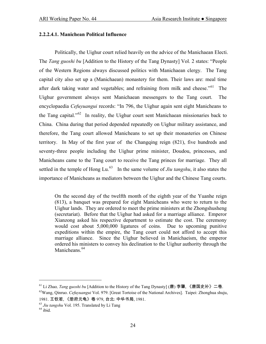#### **2.2.2.4.1. Manichean Political Influence**

Politically, the Uighur court relied heavily on the advice of the Manichaean Electi. The *Tang guoshi bu* [Addition to the History of the Tang Dynasty] Vol. 2 states: "People of the Western Regions always discussed politics with Manichaean clergy. The Tang capital city also set up a (Manichaean) monastery for them. Their laws are: meal time after dark taking water and vegetables; and refraining from milk and cheese."<sup>[61](#page-23-0)</sup> The Uighur government always sent Manichaean messengers to the Tang court. The encyclopaedia *Cefuyuangui* records: "In 796, the Uighur again sent eight Manicheans to the Tang capital." $62$  In reality, the Uighur court sent Manichaean missionaries back to China. China during that period depended repeatedly on Uighur military assistance, and therefore, the Tang court allowed Manicheans to set up their monasteries on Chinese territory. In May of the first year of the Changqing reign (821), five hundreds and seventy-three people including the Uighur prime minister, Doudou, princesses, and Manicheans came to the Tang court to receive the Tang princes for marriage. They all settled in the temple of Hong Lu.<sup>[63](#page-23-2)</sup> In the same volume of *Jiu tangshu*, it also states the importance of Manicheans as mediators between the Uighur and the Chinese Tang courts.

On the second day of the twelfth month of the eighth year of the Yuanhe reign (813), a banquet was prepared for eight Manicheans who were to return to the Uighur lands. They are ordered to meet the prime ministers at the Zhongshusheng (secretariat). Before that the Uighur had asked for a marriage alliance. Emperor Xianzong asked his respective department to estimate the cost. The ceremony would cost about 5,000,000 ligatures of coins. Due to upcoming punitive expeditions within the empire, the Tang court could not afford to accept this marriage alliance. Since the Uighur believed in Manichaeism, the emperor ordered his ministers to convey his declination to the Uighur authority through the Manicheans.<sup>[64](#page-23-3)</sup>

<span id="page-23-0"></span><sup>&</sup>lt;sup>61</sup> Li Zhao, *Tang* g*uoshi bu* [Addition to the History of the Tang Dynasty] (唐) 李肇, 《唐国史补》二卷.<br><sup>62</sup>Wang, Qinruo. *Cefuyuangui* Vol. 979. [Great Tortoise of the National Archives]. Taipei: Zhonghua shuju,

<span id="page-23-2"></span><span id="page-23-1"></span><sup>1981.</sup> 王钦若, 《册府元龟》卷 979, 台北: 中华书局, 1981. <sup>63</sup> *Jiu tangshu* Vol. 195. Translated by Li Tang <sup>64</sup> ibid.

<span id="page-23-3"></span>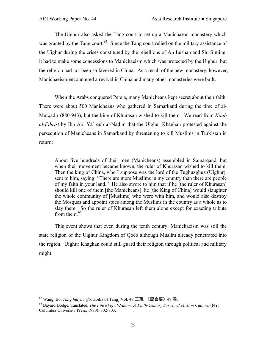The Uighur also asked the Tang court to set up a Manichaean monastery which was granted by the Tang court.<sup>[65](#page-24-0)</sup> Since the Tang court relied on the military assistance of the Uighur during the crises constituted by the rebellions of An Lushan and Shi Siming, it had to make some concessions to Manichaeism which was protected by the Uighur, but the religion had not been so favored in China. As a result of the new monastery, however, Manichaeism encountered a revival in China and many other monasteries were built.

When the Arabs conquered Persia, many Manicheans kept secret about their faith. There were about 500 Manicheans who gathered in Samarkand during the time of al-Mutqadir (880-943), but the king of Khurasan wished to kill them. We read from *Kitab al-Fihrist* by Ibn Abī Ya` qūb al-Nadim that the Uighur Khaghan protested against the persecution of Manicheans in Samarkand by threatening to kill Muslims in Turkistan in return:

About five hundreds of their men (Manicheans) assembled in Samarqand, but when their movement became known, the ruler of Khurasan wished to kill them. Then the king of China, who I suppose was the lord of the Tughuzghuz (Uighur), sent to him, saying: "There are more Muslims in my country than there are people of my faith in your land." He also swore to him that if he [the ruler of Khurasan] should kill one of them [the Manicheans], he [the King of China] would slaughter the whole community of [Muslims] who were with him, and would also destroy the Mosques and appoint spies among the Muslims in the country as a whole as to slay them. So the ruler of Khurasan left them alone except for exacting tribute from them.<sup>[66](#page-24-1)</sup>

This event shows that even during the tenth century, Manichaeism was still the state religion of the Uighur Kingdom of Qočo although Muslim already penetrated into the region. Uighur Khaghan could still guard their religion through political and military might.

<span id="page-24-1"></span><span id="page-24-0"></span><sup>65</sup> Wang, Bo, *Tang huiyao* [Notabilia of Tang] Vol. 49.王薄, 《唐会要》<sup>49</sup> <sup>卷</sup>. 66 Bayard Dodge, translated, *The Fihrist of al-Nadim: A Tenth-Century Survey of Muslim Culture*. (NY: Columbia University Press, 1970): 802-803.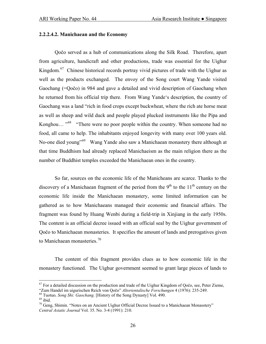#### **2.2.2.4.2. Manichaean and the Economy**

 Qočo served as a hub of communications along the Silk Road. Therefore, apart from agriculture, handicraft and other productions, trade was essential for the Uighur Kingdom.<sup>[67](#page-25-0)</sup> Chinese historical records portray vivid pictures of trade with the Uighur as well as the products exchanged. The envoy of the Song court Wang Yande visited Gaochang (=Qočo) in 984 and gave a detailed and vivid description of Gaochang when he returned from his official trip there. From Wang Yande's description, the country of Gaochang was a land "rich in food crops except buckwheat, where the rich ate horse meat as well as sheep and wild duck and people played plucked instruments like the Pipa and Konghou... "<sup>[68](#page-25-1)</sup> "There were no poor people within the country. When someone had no food, all came to help. The inhabitants enjoyed longevity with many over 100 years old. No-one died young"<sup>[69](#page-25-2)</sup> Wang Yande also saw a Manichaean monastery there although at that time Buddhism had already replaced Manichaeism as the main religion there as the number of Buddhist temples exceeded the Manichaean ones in the country.

 So far, sources on the economic life of the Manicheans are scarce. Thanks to the discovery of a Manichaean fragment of the period from the  $9<sup>th</sup>$  to the 11<sup>th</sup> century on the economic life inside the Manichaean monastery, some limited information can be gathered as to how Manichaeans managed their economic and financial affairs. The fragment was found by Huang Wenbi during a field-trip in Xinjiang in the early 1950s. The content is an official decree issued with an official seal by the Uighur government of Qočo to Manichaean monasteries. It specifies the amount of lands and prerogatives given to Manichaean monasteries. $70$ 

 The content of this fragment provides clues as to how economic life in the monastery functioned. The Uighur government seemed to grant large pieces of lands to

<span id="page-25-0"></span> $\overline{a}$  $67$  For a detailed discussion on the production and trade of the Uighur Kingdom of Qočo, see, Peter Zieme, "Zum Handel im uigurischen Reich von Qočo" *Altorientalische Forschungen* 4 (1976): 235-249. 68 Tuotuo*, Song Shi: Gaochang.* [History of the Song Dynasty] Vol. 490. 69 ibid.

<span id="page-25-1"></span>

<span id="page-25-2"></span>

<span id="page-25-3"></span> $70$  Geng, Shimin. "Notes on an Ancient Uighur Official Decree Issued to a Manichaean Monasstery" *Central Asiatic Journal* Vol. 35. No. 3-4 (1991): 210.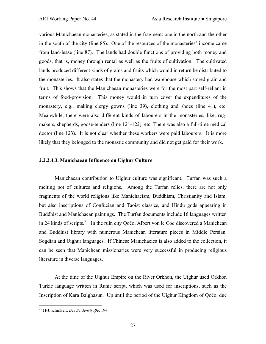various Manichaean monasteries, as stated in the fragment: one in the north and the other in the south of the city (line 85). One of the resources of the monasteries' income came from land-lease (line 87). The lands had double functions of providing both money and goods, that is, money through rental as well as the fruits of cultivation. The cultivated lands produced different kinds of grains and fruits which would in return be distributed to the monasteries. It also states that the monastery had warehouse which stored grain and fruit. This shows that the Manichaean monasteries were for the most part self-reliant in terms of food-provision. This money would in turn cover the expenditures of the monastery, e.g., making clergy gowns (line 39), clothing and shoes (line 41), etc. Meanwhile, there were also different kinds of labourers in the monasteries, like, rugmakers, shepherds, goose-tenders (line 121-122), etc. There was also a full-time medical doctor (line 123). It is not clear whether these workers were paid labourers. It is more likely that they belonged to the monastic community and did not get paid for their work.

#### **2.2.2.4.3. Manichaean Influence on Uighur Culture**

Manichaean contribution to Uighur culture was significant. Turfan was such a melting pot of cultures and religions. Among the Turfan relics, there are not only fragments of the world religions like Manichaeism, Buddhism, Christianity and Islam, but also inscriptions of Confucian and Taoist classics, and Hindu gods appearing in Buddhist and Manichaean paintings. The Turfan documents include 16 languages written in 24 kinds of scripts.<sup>[71](#page-26-0)</sup> In the ruin city Qočo, Albert von le Coq discovered a Manichean and Buddhist library with numerous Manichean literature pieces in Middle Persian, Sogdian and Uighur languages. If Chinese Manichaeica is also added to the collection, it can be seen that Manichean missionaries were very successful in producing religious literature in diverse languages.

At the time of the Uighur Empire on the River Orkhon, the Uighur used Orkhon Turkic language written in Runic script, which was used for inscriptions, such as the Inscription of Kara Balghasun. Up until the period of the Uighur Kingdom of Qočo, due

<span id="page-26-0"></span><sup>71</sup> H-J. Klimkeit, *Die Seidenstraße*, 194.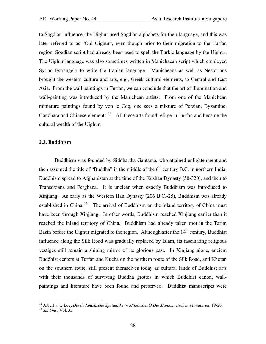to Sogdian influence, the Uighur used Sogdian alphabets for their language, and this was later referred to as "Old Uighur", even though prior to their migration to the Turfan region, Sogdian script had already been used to spell the Turkic language by the Uighur. The Uighur language was also sometimes written in Manichaean script which employed Syriac Estrangelo to write the Iranian language. Manicheans as well as Nestorians brought the western culture and arts, e.g., Greek cultural elements, to Central and East Asia. From the wall paintings in Turfan, we can conclude that the art of illumination and wall-painting was introduced by the Manichean artists. From one of the Manichean miniature paintings found by von le Coq, one sees a mixture of Persian, Byzantine, Gandhara and Chinese elements.<sup>[72](#page-27-0)</sup> All these arts found refuge in Turfan and became the cultural wealth of the Uighur.

#### **2.3. Buddhism**

Buddhism was founded by Siddhartha Gautama, who attained enlightenment and then assumed the title of "Buddha" in the middle of the  $6<sup>th</sup>$  century B.C. in northern India. Buddhism spread to Afghanistan at the time of the Kushan Dynasty (50-320), and then to Transoxiana and Ferghana. It is unclear when exactly Buddhism was introduced to Xinjiang. As early as the Western Han Dynasty (206 B.C.-25), Buddhism was already established in China.<sup>[73](#page-27-1)</sup> The arrival of Buddhism on the inland territory of China must have been through Xinjiang. In other words, Buddhism reached Xinjiang earlier than it reached the inland territory of China. Buddhism had already taken root in the Tarim Basin before the Uighur migrated to the region. Although after the  $14<sup>th</sup>$  century, Buddhist influence along the Silk Road was gradually replaced by Islam, its fascinating religious vestiges still remain a shining mirror of its glorious past. In Xinjiang alone, ancient Buddhist centers at Turfan and Kucha on the northern route of the Silk Road, and Khotan on the southern route, still present themselves today as cultural lands of Buddhist arts with their thousands of surviving Buddha grottos in which Buddhist canon, wallpaintings and literature have been found and preserved. Buddhist manuscripts were

<span id="page-27-1"></span><span id="page-27-0"></span><sup>72</sup> Albert v. le Loq, *Die buddhistische Spätantike in MittelasienÖ Die Manichaeischen Miniaturen*. 19-20. 73 *Sui Shu* , Vol. 35.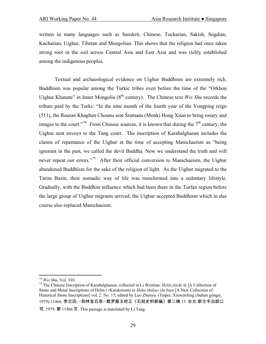written in many languages such as Sanskrit, Chinese, Tocharian, Sakish, Sogdian, Kucharian, Uighur, Tibetan and Mongolian. This shows that the religion had once taken strong root in the soil across Central Asia and East Asia and was richly established among the indigenous peoples.

Textual and archaeological evidence on Uighur Buddhism are extremely rich. Buddhism was popular among the Turkic tribes even before the time of the "Orkhon Uighur Khanate" in Inner Mongolia (8<sup>th</sup> century). The Chinese text *Wei Shu* records the tribute paid by the Turks: "In the nine month of the fourth year of the Yongping reign (511), the Rouran Khaghan Chounu sent Śramana (Monk) Hong Xuan to bring rosary and images to the court."<sup>[74](#page-28-0)</sup> From Chinese sources, it is known that during the  $7<sup>th</sup>$  century, the Uighur sent envoys to the Tang court. The inscription of Karabalghasun includes the claims of repentance of the Uighur at the time of accepting Manichaeism as "being ignorant in the past, we called the devil Buddha. Now we understand the truth and will never repeat our errors."<sup>[75](#page-28-1)</sup> After their official conversion to Manichaeism, the Uighur abandoned Buddhism for the sake of the religion of light. As the Uighur migrated to the Tarim Basin, their nomadic way of life was transformed into a sedentary lifestyle. Gradually, with the Buddhist influence which had been there in the Turfan region before the large group of Uighur migrants arrived, the Uighur accepted Buddhism which in due course also replaced Manichaeism.

<span id="page-28-0"></span><sup>&</sup>lt;sup>74</sup> Wei Shu, Vol. 103.

<span id="page-28-1"></span><sup>&</sup>lt;sup>75</sup> The Chinese Inscription of Karabalghasun, collected in Li Wentian. *Helin jinshi lu* [A Collection of Stone and Metal Inscriptions of Helin (=Karakorum) in *Shike shiliao xin bian* [A New Collection of Historical Stone Inscriptions] vol. 2. No. 15, edited by Luo Zhenyu. (Taipei: Xinwenfeng chuban gongsi, 1979):11466. 李文田, <和林金石录> 载罗振玉校正《石刻史料新编》第二缉 15. 台北:新文丰出版公

司, 1979. 第 11466 页. This passage is translated by Li Tang.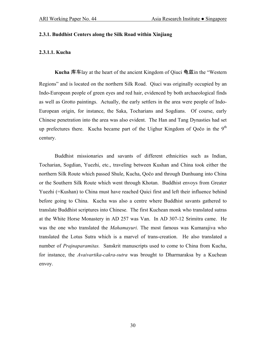#### **2.3.1. Buddhist Centers along the Silk Road within Xinjiang**

#### **2.3.1.1. Kucha**

**Kucha** 库车lay at the heart of the ancient Kingdom of Qiuci 龟兹in the "Western Regions" and is located on the northern Silk Road. Qiuci was originally occupied by an Indo-European people of green eyes and red hair, evidenced by both archaeological finds as well as Grotto paintings. Actually, the early settlers in the area were people of Indo-European origin, for instance, the Saka, Tocharians and Sogdians. Of course, early Chinese penetration into the area was also evident. The Han and Tang Dynasties had set up prefectures there. Kucha became part of the Uighur Kingdom of Qočo in the  $9<sup>th</sup>$ century.

Buddhist missionaries and savants of different ethnicities such as Indian, Tocharian, Sogdian, Yuezhi, etc., traveling between Kushan and China took either the northern Silk Route which passed Shule, Kucha, Qočo and through Dunhuang into China or the Southern Silk Route which went through Khotan. Buddhist envoys from Greater Yuezhi (=Kushan) to China must have reached Quici first and left their influence behind before going to China. Kucha was also a centre where Buddhist savants gathered to translate Buddhist scriptures into Chinese. The first Kuchean monk who translated sutras at the White Horse Monastery in AD 257 was Van. In AD 307-12 Srimitra came. He was the one who translated the *Mahamayuri*. The most famous was Kumarajiva who translated the Lotus Sutra which is a marvel of trans-creation. He also translated a number of *Prajnaparamitas.* Sanskrit manuscripts used to come to China from Kucha, for instance, the *Avaivartika-cakra-sutra* was brought to Dharmaraksa by a Kuchean envoy.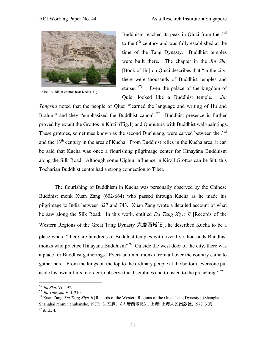

Buddhism reached its peak in Quici from the  $3<sup>rd</sup>$ to the  $6<sup>th</sup>$  century and was fully established at the time of the Tang Dynasty. Buddhist temples were built there. The chapter in the *Jin Shu* [Book of Jin] on Qiuci describes that "in the city, there were thousands of Buddhist temples and stupas."<sup>[76](#page-30-0)</sup> Even the palace of the kingdom of Quici looked like a Buddhist temple. *Jiu* 

*Tangshu* noted that the people of Qiuci "learned the language and writing of Hu and Brahmi" and they "emphasized the Buddhist canon".<sup>[77](#page-30-1)</sup> Buddhist presence is further proved by extant the Grottos in Kirzil (Fig.1) and Qumutura with Buddhist wall-paintings. These grottoes, sometimes known as the second Dunhuang, were carved between the  $3<sup>rd</sup>$ and the 13<sup>th</sup> century in the area of Kucha. From Buddhist relics in the Kucha area, it can be said that Kucha was once a flourishing pilgrimage center for Hīnayāna Buddhism along the Silk Road. Although some Uighur influence in Kirzil Grottos can be felt, this Tocharian Buddhist centre had a strong connection to Tibet.

The flourishing of Buddhism in Kucha was personally observed by the Chinese Buddhist monk Xuan Zang (602-664) who passed through Kucha as he made his pilgrimage to India between 627 and 743. Xuan Zang wrote a detailed account of what he saw along the Silk Road. In this work, entitled *Da Tang Xiyu Ji* [Records of the Western Regions of the Great Tang Dynasty 大唐西域记], he described Kucha to be a place where "there are hundreds of Buddhist temples with over five thousands Buddhist monks who practice Hinayana Buddhism<sup>7[78](#page-30-2)</sup> Outside the west door of the city, there was a place for Buddhist gatherings. Every autumn, monks from all over the country came to gather here. From the kings on the top to the ordinary people at the bottom, everyone put aside his own affairs in order to observe the disciplines and to listen to the preaching."<sup>[79](#page-30-3)</sup>

<span id="page-30-3"></span><span id="page-30-2"></span><span id="page-30-1"></span>

<span id="page-30-0"></span><sup>&</sup>lt;sup>76</sup> *Jin Shu. Vol. 97.*<br><sup>77</sup> *Jiu Tangshu Vol. 210.*<br><sup>78</sup> Xuan Zang, *Da Tang Xiyu Ji* [Records of the Western Regions of the Great Tang Dynasty]. (Shanghai: Shanghai renmin chubanshe, 1977): 3. 玄藏, 《大唐西域记》, 上海: 上海人民出版社, 1977. 3 页. 79 ibid., 4.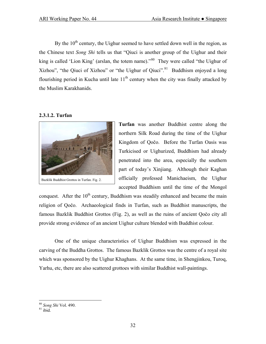By the  $10<sup>th</sup>$  century, the Uighur seemed to have settled down well in the region, as the Chinese text *Song Shi* tells us that "Qiuci is another group of the Uighur and their king is called 'Lion King' (arslan, the totem name).<sup>[80](#page-31-0)</sup> They were called "the Uighur of Xizhou", "the Qiuci of Xizhou" or "the Uighur of Qiuci".<sup>[81](#page-31-1)</sup> Buddhism enjoyed a long flourishing period in Kucha until late  $11<sup>th</sup>$  century when the city was finally attacked by the Muslim Karakhanids.

#### **2.3.1.2. Turfan**



**Turfan** was another Buddhist centre along the northern Silk Road during the time of the Uighur Kingdom of Qočo. Before the Turfan Oasis was Turkicised or Uighurized, Buddhism had already penetrated into the area, especially the southern part of today's Xinjiang. Although their Kaghan officially professed Manichaeism, the Uighur accepted Buddhism until the time of the Mongol

conquest. After the  $10<sup>th</sup>$  century, Buddhism was steadily enhanced and became the main religion of Qočo. Archaeological finds in Turfan, such as Buddhist manuscripts, the famous Bazklik Buddhist Grottos (Fig. 2), as well as the ruins of ancient Qočo city all provide strong evidence of an ancient Uighur culture blended with Buddhist colour.

One of the unique characteristics of Uighur Buddhism was expressed in the carving of the Buddha Grottos. The famous Bazklik Grottos was the centre of a royal site which was sponsored by the Uighur Khaghans. At the same time, in Shengjinkou, Turoq, Yarhu, etc, there are also scattered grottoes with similar Buddhist wall-paintings.

<span id="page-31-0"></span><sup>&</sup>lt;sup>80</sup> *Song Shi* Vol. 490.<br><sup>81</sup> ibid.

<span id="page-31-1"></span>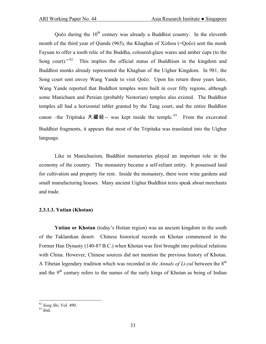Oočo during the  $10<sup>th</sup>$  century was already a Buddhist country. In the eleventh month of the third year of Qiande (965), the Khaghan of Xizhou (=Qočo) sent the monk Fayuan to offer a tooth relic of the Buddha, coloured-glaze wares and amber cups (to the Song court)." <sup>[82](#page-32-0)</sup> This implies the official status of Buddhism in the kingdom and Buddhist monks already represented the Khaghan of the Uighur Kingdom. In 981, the Song court sent envoy Wang Yande to visit Qočo. Upon his return three years later, Wang Yande reported that Buddhist temples were built in over fifty regions, although some Manichaen and Persian (probably Nestorian) temples also existed. The Buddhist temples all had a horizontal tablet granted by the Tang court, and the entire Buddhist canon –the Tripitaka 大藏经-- was kept inside the temple. <sup>[83](#page-32-1)</sup> From the excavated Buddhist fragments, it appears that most of the Tripitaka was translated into the Uighur language.

Like in Manichaeism, Buddhist monasteries played an important role in the economy of the country. The monastery became a self-reliant entity. It possessed land for cultivation and property for rent. Inside the monastery, there were wine gardens and small manufacturing houses. Many ancient Uighur Buddhist texts speak about merchants and trade.

#### **2.3.1.3. Yutian (Khotan)**

**Yutian or Khotan** (today's Hotian region) was an ancient kingdom in the south of the Taklamkan desert. Chinese historical records on Khotan commenced in the Former Han Dynasty (140-87 B.C.) when Khotan was first brought into political relations with China. However, Chinese sources did not mention the previous history of Khotan. A Tibetan legendary tradition which was recorded in *the Annals of Li-vul* between the 8<sup>th</sup> and the  $9<sup>th</sup>$  century refers to the names of the early kings of Khotan as being of Indian

<span id="page-32-0"></span><sup>&</sup>lt;sup>82</sup> *Song Shi*, Vol. 490.<br><sup>83</sup> ibid.

<span id="page-32-1"></span>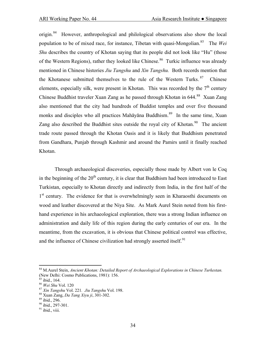origin.<sup>[84](#page-33-0)</sup> However, anthropological and philological observations also show the local population to be of mixed race, for instance, Tibetan with quasi-Mongolian.<sup>85</sup> The *Wei Shu* describes the country of Khotan saying that its people did not look like "Hu" (those of the Western Regions), rather they looked like Chinese.<sup>[86](#page-33-2)</sup> Turkic influence was already mentioned in Chinese histories *Jiu Tangshu* and *Xin Tangshu.* Both records mention that the Khotanese submitted themselves to the rule of the Western Turks. [87](#page-33-3) Chinese elements, especially silk, were present in Khotan. This was recorded by the  $7<sup>th</sup>$  century Chinese Buddhist traveler Xuan Zang as he passed through Khotan in 644.<sup>[88](#page-33-4)</sup> Xuan Zang also mentioned that the city had hundreds of Buddist temples and over five thousand monks and disciples who all practices Mahāyāna Buddhism.<sup>[89](#page-33-5)</sup> In the same time, Xuan Zang also described the Buddhist sites outside the royal city of Khotan.<sup>[90](#page-33-6)</sup> The ancient trade route passed through the Khotan Oasis and it is likely that Buddhism penetrated from Gandhara, Punjab through Kashmir and around the Pamirs until it finally reached Khotan.

Through archaeological discoveries, especially those made by Albert von le Coq in the beginning of the  $20<sup>th</sup>$  century, it is clear that Buddhism had been introduced to East Turkistan, especially to Khotan directly and indirectly from India, in the first half of the 1<sup>st</sup> century. The evidence for that is overwhelmingly seen in Kharaosthi documents on wood and leather discovered at the Niya Site. As Mark Aurel Stein noted from his firsthand experience in his archaeological exploration, there was a strong Indian influence on administration and daily life of this region during the early centuries of our era. In the meantime, from the excavation, it is obvious that Chinese political control was effective, and the influence of Chinese civilization had strongly asserted itself.<sup>[91](#page-33-7)</sup>

<span id="page-33-0"></span><sup>84</sup> M.Aurel Stein, *Ancient Khotan: Detailed Report of Archaeological Explorations in Chinese Turkestan.* (New Delhi: Cosmo Publications, 1981): 156.

<span id="page-33-2"></span><span id="page-33-1"></span> $\frac{85}{86}$  ibid., 164.<br> $\frac{86}{86}$  *Wei Shu* Vol. 120

<span id="page-33-4"></span><span id="page-33-3"></span><sup>&</sup>lt;sup>87</sup> *Xin Tangshu* Vol. 221*. Jiu Tangshu* Vol. 198.<br><sup>88</sup> Xuan Zang, *Da Tang Xiyu ji*, 301-302.<br><sup>89</sup> ibid., 296.

<span id="page-33-5"></span>

 $90$  ibid., 297-301.

<span id="page-33-7"></span><span id="page-33-6"></span> $91$  ibid., viii.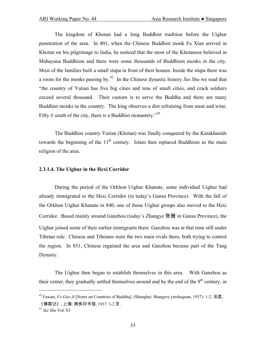The kingdom of Khotan had a long Buddhist tradition before the Uighur penetration of the area. In 401, when the Chinese Buddhist monk Fa Xian arrived in Khotan on his pilgrimage to India, he noticed that the most of the Khotanese believed in Mahayana Buddhism and there were some thousands of Buddhism monks in the city. Most of the families built a small stupa in front of their houses. Inside the stupa there was a room for the monks passing by.[92](#page-34-0) In the Chinese dynastic history *Sui Shu* we read that "the country of Yutian has five big cities and tens of small cities, and crack soldiers exceed several thousand. Their custom is to serve the Buddha and there are many Buddhist monks in the country. The king observes a diet refraining from meat and wine. Fifty *li* south of the city, there is a Buddhist monastery.<sup>"[93](#page-34-1)</sup>

The Buddhist country Yutian (Khotan) was finally conquered by the Karakhanids towards the beginning of the  $11<sup>th</sup>$  century. Islam then replaced Buddhism as the main religion of the area.

#### **2.3.1.4. The Uighur in the Hexi Corridor**

During the period of the Orkhon Uighur Khanate, some individual Uighur had already immigrated to the Hexi Corridor (in today's Gansu Province). With the fall of the Orkhon Uighur Khanate in 840, one of those Uighur groups also moved to the Hexi Corridor. Based mainly around Ganzhou (today's Zhangye 张掖 in Gansu Province), the Uighur joined some of their earlier immigrants there. Ganzhou was at that time still under Tibetan rule. Chinese and Tibetans were the two main rivals there, both trying to control the region. In 851, Chinese regained the area and Ganzhou became part of the Tang Dynasty.

The Uighur then began to establish themselves in this area. With Ganzhou as their center, they gradually settled themselves around and by the end of the  $9<sup>th</sup>$  century, in

<span id="page-34-0"></span><sup>92</sup> Faxian, *Fo Guo Ji* [Notes on Countries of Buddha]. (Shanghai: Shangwu yinshuguan, 1937): 1-2. 法显, 《佛国记》, 上海: 商务印书馆, 1937. 1-2 页.<br><sup>93</sup> *Sui Shu* Vol. 83

<span id="page-34-1"></span>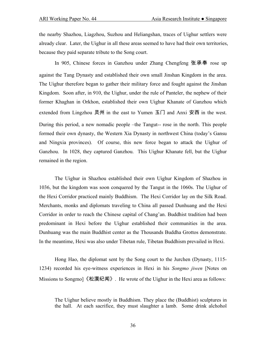the nearby Shazhou, Liagzhou, Suzhou and Heliangshan, traces of Uighur settlers were already clear. Later, the Uighur in all these areas seemed to have had their own territories, because they paid separate tribute to the Song court.

In 905, Chinese forces in Ganzhou under Zhang Chengfeng 张承奉 rose up against the Tang Dynasty and established their own small Jinshan Kingdom in the area. The Uighur therefore began to gather their military force and fought against the Jinshan Kingdom. Soon after, in 910, the Uighur, under the rule of Panteler, the nephew of their former Khaghan in Orkhon, established their own Uighur Khanate of Ganzhou which extended from Lingzhou 灵州 in the east to Yumen 玉门 and Anxi 安西 in the west.

During this period, a new nomadic people –the Tangut-- rose in the north. This people formed their own dynasty, the Western Xia Dynasty in northwest China (today's Gansu and Ningxia provinces). Of course, this new force began to attack the Uighur of Ganzhou. In 1028, they captured Ganzhou. This Uighur Khanate fell, but the Uighur remained in the region.

The Uighur in Shazhou established their own Uighur Kingdom of Shazhou in 1036, but the kingdom was soon conquered by the Tangut in the 1060s. The Uighur of the Hexi Corridor practiced mainly Buddhism. The Hexi Corridor lay on the Silk Road. Merchants, monks and diplomats traveling to China all passed Dunhuang and the Hexi Corridor in order to reach the Chinese capital of Chang'an. Buddhist tradition had been predominant in Hexi before the Uighur established their communities in the area. Dunhuang was the main Buddhist center as the Thousands Buddha Grottos demonstrate. In the meantime, Hexi was also under Tibetan rule, Tibetan Buddhism prevailed in Hexi.

Hong Hao, the diplomat sent by the Song court to the Jurchen (Dynasty, 1115- 1234) recorded his eye-witness experiences in Hexi in his *Songmo jiwen* [Notes on Missions to Songmo]《松漠纪闻》. He wrote of the Uighur in the Hexi area as follows:

The Uighur believe mostly in Buddhism. They place the (Buddhist) sculptures in the hall. At each sacrifice, they must slaughter a lamb. Some drink alchohol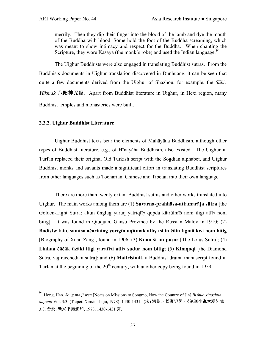merrily. Then they dip their finger into the blood of the lamb and dye the mouth of the Buddha with blood. Some hold the foot of the Buddha screaming, which was meant to show intimacy and respect for the Buddha. When chanting the Scripture, they wore Kasāya (the monk's robe) and used the Indian language.<sup>[94](#page-36-0)</sup>

The Uighur Buddhists were also engaged in translating Buddhist sutras. From the Buddhists documents in Uighur translation discovered in Dunhuang, it can be seen that quite a few documents derived from the Uighur of Shazhou, for example, the *Säkiz Yükmäk* 八阳神咒经. Apart from Buddhist literature in Uighur, in Hexi region, many Buddhist temples and monasteries were built.

#### **2.3.2. Uighur Buddhist Literature**

 $\overline{a}$ 

Uighur Buddhist texts bear the elements of Mahāyāna Buddhism, although other types of Buddhist literature, e.g., of Hīnayāha Buddhism, also existed. The Uighur in Turfan replaced their original Old Turkish script with the Sogdian alphabet, and Uighur Buddhist monks and savants made a significant effort in translating Buddhist scriptures from other languages such as Tocharian, Chinese and Tibetan into their own language.

There are more than twenty extant Buddhist sutras and other works translated into Uighur. The main works among them are (1) **Suvarna-prahhāsa-uttamarāja sūtra** [the Golden-Light Sutra; altun önglüg yaruq yatrïqlïγ qopda kätrülmïš nom iligi atlïγ nom bitig]. It was found in Qiuquan, Gansu Province by the Russian Malov in 1910; (2) **Bodistw taito samtso ačarining yorïgïn uqïtmak atlïγ tsi in čüin tigmä kwi nom bitig**  [Biography of Xuan Zang], found in 1906; (3) **Kuan-ši-im pusar** [The Lotus Sutra]; (4) **Linhua čäčäk üzäki itigi yaratïγi atliγ sudur nom bitig;** (5) **Kimqoqi** [the Diamond Sutra, vajiracchedika sutra]; and (6) **Maitrisimit,** a Buddhist drama manuscript found in Turfan at the beginning of the  $20<sup>th</sup>$  century, with another copy being found in 1959.

<span id="page-36-0"></span><sup>94</sup> Hong, Hao. *Song mo ji wen* [Notes on Missions to Songmo, Now the Country of Jin] *Bishuo xiaoshuo*  daguan Vol. 3:3. (Taipei: Xinxin shuju, 1978): 1430-1431. (宋) 洪皓. <松漠记闻>《笔说小说大观》卷 3:3. 台北: 新兴书局影印, 1978. 1430-1431 页.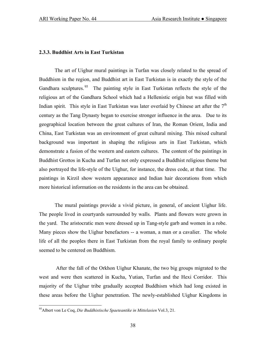## **2.3.3. Buddhist Arts in East Turkistan**

The art of Uighur mural paintings in Turfan was closely related to the spread of Buddhism in the region, and Buddhist art in East Turkistan is in exactly the style of the Gandhara sculptures. <sup>[95](#page-37-0)</sup> The painting style in East Turkistan reflects the style of the religious art of the Gandhara School which had a Hellenistic origin but was filled with Indian spirit. This style in East Turkistan was later overlaid by Chinese art after the  $7<sup>th</sup>$ century as the Tang Dynasty began to exercise stronger influence in the area. Due to its geographical location between the great cultures of Iran, the Roman Orient, India and China, East Turkistan was an environment of great cultural mixing. This mixed cultural background was important in shaping the religious arts in East Turkistan, which demonstrate a fusion of the western and eastern cultures. The content of the paintings in Buddhist Grottos in Kucha and Turfan not only expressed a Buddhist religious theme but also portrayed the life-style of the Uighur, for instance, the dress code, at that time. The paintings in Kirzil show western appearance and Indian hair decorations from which more historical information on the residents in the area can be obtained.

 The mural paintings provide a vivid picture, in general, of ancient Uighur life. The people lived in courtyards surrounded by walls. Plants and flowers were grown in the yard. The aristocratic men were dressed up in Tang-style garb and women in a robe. Many pieces show the Uighur benefactors -- a woman, a man or a cavalier. The whole life of all the peoples there in East Turkistan from the royal family to ordinary people seemed to be centered on Buddhism.

 After the fall of the Orkhon Uighur Khanate, the two big groups migrated to the west and were then scattered in Kucha, Yutian, Turfan and the Hexi Corridor. This majority of the Uighur tribe gradually accepted Buddhism which had long existed in these areas before the Uighur penetration. The newly-established Uighur Kingdoms in

<u>.</u>

<span id="page-37-0"></span><sup>95</sup>Albert von Le Coq, *Die Buddhistische Spaeteantike in Mittelasien* Vol.3, 21.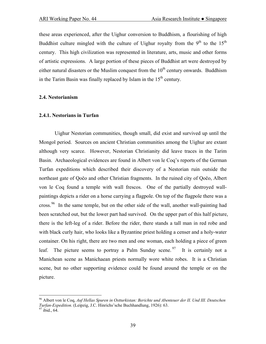these areas experienced, after the Uighur conversion to Buddhism, a flourishing of high Buddhist culture mingled with the culture of Uighur royalty from the  $9<sup>th</sup>$  to the 15<sup>th</sup> century. This high civilization was represented in literature, arts, music and other forms of artistic expressions. A large portion of these pieces of Buddhist art were destroyed by either natural disasters or the Muslim conquest from the  $10<sup>th</sup>$  century onwards. Buddhism in the Tarim Basin was finally replaced by Islam in the  $15<sup>th</sup>$  century.

## **2.4. Nestorianism**

## **2.4.1. Nestorians in Turfan**

 Uighur Nestorian communities, though small, did exist and survived up until the Mongol period. Sources on ancient Christian communities among the Uighur are extant although very scarce. However, Nestorian Christianity did leave traces in the Tarim Basin. Archaeological evidences are found in Albert von le Coq's reports of the German Turfan expeditions which described their discovery of a Nestorian ruin outside the northeast gate of Qočo and other Christian fragments. In the ruined city of Qočo, Albert von le Coq found a temple with wall frescos. One of the partially destroyed wallpaintings depicts a rider on a horse carrying a flagpole. On top of the flagpole there was a cross.<sup>[96](#page-38-0)</sup> In the same temple, but on the other side of the wall, another wall-painting had been scratched out, but the lower part had survived. On the upper part of this half picture, there is the left-leg of a rider. Before the rider, there stands a tall man in red robe and with black curly hair, who looks like a Byzantine priest holding a censer and a holy-water container. On his right, there are two men and one woman, each holding a piece of green leaf. The picture seems to portray a Palm Sunday scene.<sup>[97](#page-38-1)</sup> It is certainly not a Manichean scene as Manichaean priests normally wore white robes. It is a Christian scene, but no other supporting evidence could be found around the temple or on the picture.

<span id="page-38-0"></span><sup>96</sup> Albert von le Coq, *Auf Hellas Spuren in Ostturkistan: Berichte und Abenteuer der II. Und III. Deutschen Turfan-Expedition.* (Leipzig, J.C. Hinrichs'sche Buchhandlung, 1926): 63. 97 ibid., 64.

<span id="page-38-1"></span>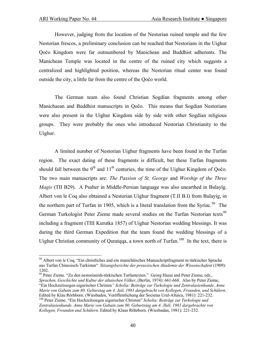$\overline{a}$ 

 However, judging from the location of the Nestorian ruined temple and the few Nestorian frescos, a preliminary conclusion can be reached that Nestorians in the Uighur Qočo Kingdom were far outnumbered by Manichean and Buddhist adherents. The Manichean Temple was located in the centre of the ruined city which suggests a centralized and highlighted position, whereas the Nestorian ritual center was found outside the city, a little far from the centre of the Qočo world.

 The German team also found Christian Sogdian fragments among other Manichaean and Buddhist manuscripts in Qočo. This means that Sogdian Nestorians were also present in the Uighur Kingdom side by side with other Sogdian religious groups. They were probably the ones who introduced Nestorian Christianity to the Uighur.

 A limited number of Nestorian Uighur fragments have been found in the Turfan region. The exact dating of these fragments is difficult, but these Turfan fragments should fall between the  $9<sup>th</sup>$  and  $11<sup>th</sup>$  centuries, the time of the Uighur Kingdom of Qočo. The two main manuscripts are: *The Passion of St. George* and *Worship of the Three Magis* (TII B29). A Psalter in Middle-Persian language was also unearthed in Bulayïg. Albert von le Coq also obtained a Nestorian Uighur fragment (T.II B.I) from Bulayig, in the northern part of Turfan in 1905, which is a literal translation from the Syriac.<sup>[98](#page-39-0)</sup> The German Turkologist Peter Zieme made several studies on the Turfan Nestorian texts<sup>[99](#page-39-1)</sup> including a fragment (TIII Kurutka 1857) of Uighur Nestorian wedding blessings. It was during the third German Expedition that the team found the wedding blessings of a Uighur Christian community of Quratqqa, a town north of Turfan.<sup>[100](#page-39-2)</sup> In the text, there is

<span id="page-39-1"></span>99 Peter Zieme. "Zu den nestorianish-türkischen Turfantexten." Georg Hazai and Peter Zieme, eds., *Sprachen, Geschichte und Kultur der altaischen Völker*, (Berlin, 1974): 661-668. Also by Peter Zieme, "Ein Hochzeitssegen uigurischer Christen*" Scholia: Beiträge zur Turkologie und Zentralasienkunde*. *Anne Marie von Gabain zum 80. Geburstag am 4. Juli, 1981 dargebracht von Kollegen, Freunden, und Schülern*. Edited by Klau Rörhborn. (Wiesbaden, Veröffentlichung der Societas Ural-Altaica, 1981): 221-232. 100 Peter Zieme. "Ein Hochzeitssegen uigurischer Christen" *Scholia: Beiträge zur Turkologie und* 

<span id="page-39-0"></span><sup>98</sup> Albert von le Coq, "Ein christliches and ein manichäisches Manusckriptfragment in türkischer Sprache aus Turfan Chinesisch-Turkistan" *Sitzungsberichte der preussischen Akademie der Wissenschafent* (1909): 1202.

<span id="page-39-2"></span>*Zentralasienkunde. Anne Marie von Gabain zum 80. Geburtstag am 4. Jluli, 1981 dargebrachte von Kollegen, Freunden und Schülern*. Edited by Klaus Röhrborn. (Wiesbadan, 1981): 221-232.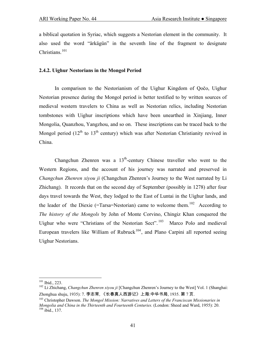a biblical quotation in Syriac, which suggests a Nestorian element in the community. It also used the word "ärkägün" in the seventh line of the fragment to designate Christians. $101$ 

#### **2.4.2. Uighur Nestorians in the Mongol Period**

In comparison to the Nestorianism of the Uighur Kingdom of Qočo, Uighur Nestorian presence during the Mongol period is better testified to by written sources of medieval western travelers to China as well as Nestorian relics, including Nestorian tombstones with Uighur inscriptions which have been unearthed in Xinjiang, Inner Mongolia, Quanzhou, Yangzhou, and so on. These inscriptions can be traced back to the Mongol period  $(12<sup>th</sup>$  to  $13<sup>th</sup>$  century) which was after Nestorian Christianity revived in China.

Changchun Zhenren was a  $13<sup>th</sup>$ -century Chinese traveller who went to the Western Regions, and the account of his journey was narrated and preserved in *Changchun Zhenren xiyou ji* (Changchun Zhenren's Journey to the West narrated by Li Zhichang). It records that on the second day of September (possibly in 1278) after four days travel towards the West, they lodged to the East of Luntai in the Uighur lands, and the leader of the Diexie (=Tarsa=Nestorian) came to welcome them.<sup>[102](#page-40-1)</sup> According to *The history of the Mongols* by John of Monte Corvino, Chingiz Khan conquered the Uighur who were "Christians of the Nestorian Sect".<sup>[103](#page-40-2)</sup> Marco Polo and medieval European travelers like William of Rubruck<sup>[104](#page-40-3)</sup>, and Plano Carpini all reported seeing Uighur Nestorians.

<span id="page-40-0"></span> $101$  Ibid., 223.

<span id="page-40-1"></span><sup>&</sup>lt;sup>102</sup> Li Zhichang, *Changchun Zhenren xiyou ji* [Changchun Zhenren's Journey to the West] Vol. 1 (Shanghai: Zhonghua shuju, 1935): 7. 李志常, 《长春真人西游记》上海:中华书局, 1935. 第 7 页.<br><sup>103</sup> Christopher Dawson. *The Mongol Mission: Narratives and Letters of the Franciscan Missionaries in* 

<span id="page-40-3"></span><span id="page-40-2"></span>*Mongolia and China in the Thirteenth and Fourteenth Centuries.* (London: Sheed and Ward, 1955): 20. 104 ibid., 137.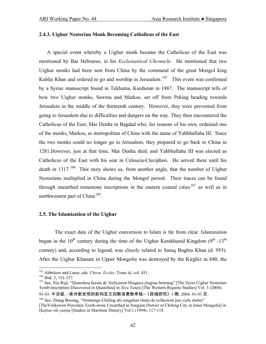## **2.4.3. Uighur Nestorian Monk Becoming Catholicus of the East**

A special event whereby a Uighur monk became the Catholicus of the East was mentioned by Bar Hebraeus, in his *Ecclesiastical Chronicle*. He mentioned that two Uighur monks had been sent from China by the command of the great Mongol king Kublai Khan and ordered to go and worship in Jerusalem.<sup>[105](#page-41-0)</sup> This event was confirmed by a Syriac manuscript found in Tekhama, Kurdistan in 1887. The manuscript tells of how two Uighur monks, Sawma and Markos, set off from Peking heading towards Jerusalem in the middle of the thirteenth century. However, they were prevented from going to Jerusalem due to difficulties and dangers on the way. They then encountered the Catholicus of the East, Mar Denha in Bagdad who, for reasons of his own, ordained one of the monks, Markos, as metropolitan of China with the name of Yahbhallaha III. Since the two monks could no longer go to Jerusalem, they prepared to go back to China in 1281.However, just at that time, Mar Denha died, and Yahbhallaha III was elected as Catholicus of the East with his seat in Celeucia-Cteciphon. He served there until his death in 1317.<sup>[106](#page-41-1)</sup> This story shows us, from another angle, that the number of Uighur Nestorians multiplied in China during the Mongol period. Their traces can be found through unearthed tomestone inscriptions in the eastern coastal cities<sup>[107](#page-41-2)</sup> as well as in northwestern part of China<sup>[108](#page-41-3)</sup>.

### **2.5. The Islamization of the Uighur**

The exact date of the Uighur conversion to Islam is far from clear. Islamization began in the  $10^{th}$  century during the time of the Uighur Karakhanid Kingdom (9<sup>th</sup> -13<sup>th</sup>) century) and, according to legend, was closely related to Satuq Bughra Khan (d. 955). After the Uighur Khanate in Upper Mongolia was destroyed by the Kirghiz in 840, the

91-93. 牛汝极, <泉州新发现的叙利亚文回鹘语景教卑铭>《西域研究》3 期, 2004. 91-93 页.<br><sup>108</sup> See, Zhang Bosong, "Neimengu Chifeng shi songshan chutu de yelikewen jiao cizhi mubei"

<span id="page-41-0"></span><sup>&</sup>lt;sup>105</sup> Abbeloos and Lamy, eds. *Chron. Eccles.* Tome iii, col. 451.

<span id="page-41-2"></span><span id="page-41-1"></span><sup>&</sup>lt;sup>106</sup> Ibid. 3; 151-157.<br><sup>107</sup> See, Niu Ruji, "Quanzhou faxian de Xuliyawen Huiguyu jingjiao beiming" [The Syrio-Uighur Nestorian Tomb-inscription Discovered in Quanzhou] in *Xiyu Yanjiu* [The Western Regions Studies] Vol. 3 (2004):

<span id="page-41-3"></span><sup>[</sup>TheYelikewen Porcelain Tomb-stone Unearthed in Songsan District of Chifeng City in Inner Mongolia] in H*aijiao shi yanjiu* [Studies in Maritime History] Vol.1 (1994): 117-118.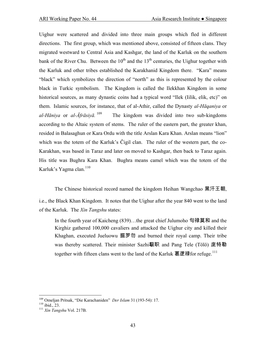Uighur were scattered and divided into three main groups which fled in different directions. The first group, which was mentioned above, consisted of fifteen clans. They migrated westward to Central Asia and Kashgar, the land of the Karluk on the southern bank of the River Chu. Between the  $10<sup>th</sup>$  and the  $13<sup>th</sup>$  centuries, the Uighur together with the Karluk and other tribes established the Karakhanid Kingdom there. "Kara" means "black" which symbolizes the direction of "north" as this is represented by the colour black in Turkic symbolism. The Kingdom is called the Ilekkhan Kingdom in some historical sources, as many dynastic coins had a typical word "Ilek (Iilik, elik, etc)" on them. Islamic sources, for instance, that of al-Athir, called the Dynasty *al-Hāqaniya* or *al-Hāniya* or *al-Āfrāsiyā.* [109](#page-42-0) The kingdom was divided into two sub-kingdoms according to the Altaic system of stems. The ruler of the eastern part, the greater khan, resided in Balasaghun or Kara Ordu with the title Arslan Kara Khan. Arslan means "lion" which was the totem of the Karluk's Čigil clan. The ruler of the western part, the co-Karakhan, was based in Taraz and later on moved to Kashgar, then back to Taraz again. His title was Bughra Kara Khan. Bughra means camel which was the totem of the Karluk's Yagma clan.<sup>[110](#page-42-1)</sup>

The Chinese historical record named the kingdom Heihan Wangchao 黑汗王朝,

i.e., the Black Khan Kingdom. It notes that the Uighur after the year 840 went to the land of the Karluk. The *Xin Tangshu* states:

 In the fourth year of Kaicheng (839)…the great chief Julumoho 句禄莫和 and the Kirghiz gathered 100,000 cavaliers and attacked the Uighur city and killed their Khaghan, executed Jueluowu 掘罗勿 and burned their royal camp. Their tribe was thereby scattered. Their minister Sazhi馺职 and Pang Tele (Tölö) 庞特勒 together with fifteen clans went to the land of the Karluk 葛逻禄for refuge.<sup>[111](#page-42-2)</sup>

<span id="page-42-0"></span><sup>109</sup> Omeljan Pritsak, "Die Karachaniden" *Der Islam* 31 (193-54): 17. 110 ibid., 23. 111 *Xin Tangshu* Vol. 217B.

<span id="page-42-2"></span><span id="page-42-1"></span>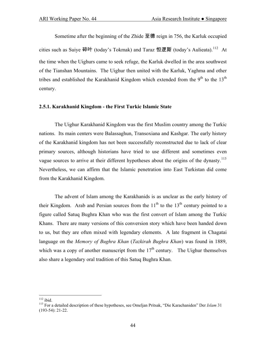Sometime after the beginning of the Zhide 至德 reign in 756, the Karluk occupied cities such as Suive 碎叶 (today's Tokmak) and Taraz 怛逻斯 (today's Aulieata).<sup>[112](#page-43-0)</sup> At the time when the Uighurs came to seek refuge, the Karluk dwelled in the area southwest of the Tianshan Mountains. The Uighur then united with the Karluk, Yaghma and other tribes and established the Karakhanid Kingdom which extended from the  $9<sup>th</sup>$  to the  $13<sup>th</sup>$ century.

## **2.5.1. Karakhanid Kingdom - the First Turkic Islamic State**

The Uighur Karakhanid Kingdom was the first Muslim country among the Turkic nations. Its main centers were Balassaghun, Transoxiana and Kashgar. The early history of the Karakhanid kingdom has not been successfully reconstructed due to lack of clear primary sources, although historians have tried to use different and sometimes even vague sources to arrive at their different hypotheses about the origins of the dynasty.<sup>113</sup> Nevertheless, we can affirm that the Islamic penetration into East Turkistan did come from the Karakhanid Kingdom.

The advent of Islam among the Karakhanids is as unclear as the early history of their Kingdom. Arab and Persian sources from the  $11<sup>th</sup>$  to the  $13<sup>th</sup>$  century pointed to a figure called Satuq Bughra Khan who was the first convert of Islam among the Turkic Khans. There are many versions of this conversion story which have been handed down to us, but they are often mixed with legendary elements. A late fragment in Chagatai language on the *Memory of Bughra Khan* (*Tazkirah Bughra Khan*) was found in 1889, which was a copy of another manuscript from the  $17<sup>th</sup>$  century. The Uighur themselves also share a legendary oral tradition of this Satuq Bughra Khan.

<span id="page-43-0"></span> $112$  ibid.

<span id="page-43-1"></span><sup>&</sup>lt;sup>113</sup> For a detailed description of these hypotheses, see Omeljan Pritsak, "Die Karachaniden" Der *Islam* 31 (193-54): 21-22.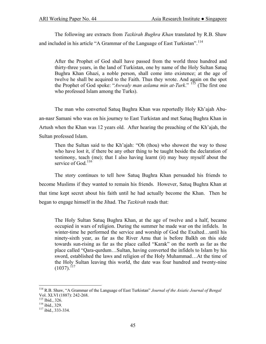The following are extracts from *Tazkirah Bughra Khan* translated by R.B. Shaw and included in his article "A Grammar of the Language of East Turkistan".<sup>[114](#page-44-0)</sup>

After the Prophet of God shall have passed from the world three hundred and thirty-three years, in the land of Turkistan, one by name of the Holy Sultan Satuq Bughra Khan Ghazi, a noble person, shall come into existence; at the age of twelve he shall be acquired to the Faith. Thus they wrote. And again on the spot the Prophet of God spoke: "*Awwaly man aslama min at-Turk*." [115](#page-44-1) (The first one who professed Islam among the Turks).

The man who converted Satuq Bughra Khan was reportedly Holy Kh'ajah Abuan-nasr Samani who was on his journey to East Turkistan and met Satuq Bughra Khan in Artush when the Khan was 12 years old. After hearing the preaching of the Kh'ajah, the Sultan professed Islam.

Then the Sultan said to the Kh'ajah: "Oh (thou) who showest the way to those who have lost it, if there be any other thing to be taught beside the declaration of testimony, teach (me); that I also having learnt (it) may busy myself about the service of God.<sup>[116](#page-44-2)</sup>

The story continues to tell how Satuq Bughra Khan persuaded his friends to become Muslims if they wanted to remain his friends. However, Satuq Bughra Khan at that time kept secret about his faith until he had actually become the Khan. Then he began to engage himself in the Jihad. The *Tazkirah* reads that:

The Holy Sultan Satuq Bughra Khan, at the age of twelve and a half, became occupied in wars of religion. During the summer he made war on the infidels. In winter-time he performed the service and worship of God the Exalted…until his ninety-sixth year, as far as the River Amu that is before Balkh on this side towards sun-rising as far as the place called "Karak" on the north as far as the place called "Qara-qurdum…Sultan, having converted the infidels to Islam by his sword, established the laws and religion of the Holy Muhammad…At the time of the Holy Sultan leaving this world, the date was four hundred and twenty-nine  $(1037)$ .<sup>[117](#page-44-3)</sup>

<span id="page-44-0"></span><sup>114</sup> R.B. Shaw, "A Grammar of the Language of East Turkistan" *Journal of the Asiatic Journal of Bengal* Vol. XLVI (1887): 242-268.<br><sup>115</sup> Ibid., 326.

<span id="page-44-3"></span><span id="page-44-2"></span><span id="page-44-1"></span> $\frac{116}{117}$  ibid., 329.<br> $\frac{117}{117}$  ibid., 333-334.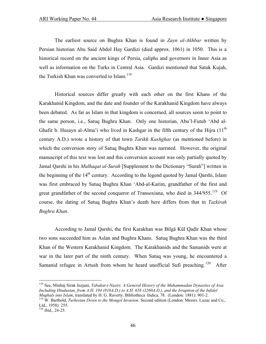The earliest source on Bughra Khan is found in *Zayn al-Akhbar* written by Persian historian Abu Said Abdol Hay Gardizi (died approx. 1061) in 1050. This is a historical record on the ancient kings of Persia, caliphs and governors in Inner Asia as well as information on the Turks in Central Asia. Gardizi mentioned that Satuk Kujah, the Turkish Khan was converted to Islam.<sup>[118](#page-45-0)</sup>

Historical sources differ greatly with each other on the first Khans of the Karakhanid Kingdom, and the date and founder of the Karakhanid Kingdom have always been debated. As far as Islam in that kingdom is concerned, all sources seem to point to the same person, i.e., Satuq Bughra Khan. Only one historian, Abu'l-Futub 'Abd al-Ghafir b. Husayn al-Alma'i who lived in Kashgar in the fifth century of the Hijra  $(11<sup>th</sup>$ century A.D.) wrote a history of that town *Tarikh Kashghar* (as mentioned before) in which the conversion story of Satuq Bughra Khan was narrated. However, the original manuscript of this text was lost and this conversion account was only partially quoted by Jamal Qarshi in his *Mulhaqat al-Surah* [Supplement to the Dictionary "Surah"] written in the beginning of the 14<sup>th</sup> century. According to the legend quoted by Jamal Qarshi, Islam was first embraced by Satuq Bughra Khan 'Abd-al-Karim, grandfather of the first and great grandfather of the second conqueror of Transoxiana, who died in 344/955.<sup>[119](#page-45-1)</sup> Of course, the dating of Satuq Bughra Khan's death here differs from that in *Tazkirah Bughra Khan*.

According to Jamal Qarshi, the first Karakhan was Bilgä Kül Qadir Khan whose two sons succeeded him as Aslan and Bughra Khans. Satuq Bughra Khan was the third Khan of the Western Karakhanid Kingdom. The Karakhanids and the Samanids were at war in the later part of the ninth century. When Satuq was young, he encountered a Samanid refugee in Artush from whom he heard unofficial Sufi preaching. <sup>[120](#page-45-2)</sup> After

<span id="page-45-0"></span><sup>118</sup> See, Minhaj Sirak Juzjani, *Tabakat-i-Nasiri: A General History of the Muhammadan Dynasties of Asia Including Hindustan, from A.H. 194 (810A.D.) to A.H. 658 (1260A.D.), and the Irruption of the Infidel Mughals into Islam*, translated by H. G. Raverty. Bibliotheca Indica, 78. (London: 1881): 901-2. 119 W. Barthold, *Turkestan Down to the Mongol Invasion.* Second edition (London: Messrs. Luzac and Co.,

<span id="page-45-1"></span>Ltd., 1958): 255.

<span id="page-45-2"></span> $120$  ibid., 24-25.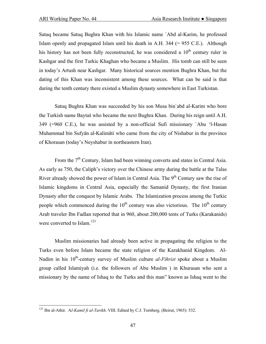Satuq became Satuq Bughra Khan with his Islamic name `Abd al-Karim, he professed Islam openly and propagated Islam until his death in A.H. 344  $(= 955 \text{ C.E.})$ . Although his history has not been fully reconstructed, he was considered a  $10<sup>th</sup>$  century ruler in Kashgar and the first Turkic Khaghan who became a Muslim. His tomb can still be seen in today's Artush near Kashgar. Many historical sources mention Bughra Khan, but the dating of this Khan was inconsistent among these sources. What can be said is that during the tenth century there existed a Muslim dynasty somewhere in East Turkistan.

Satuq Bughra Khan was succeeded by his son Musa bin`abd al-Karim who bore the Turkish name Baytaš who became the next Bughra Khan. During his reign until A.H. 349 (=960 C.E.), he was assisted by a non-official Sufi missionary `Abu 'l-Hasan Muhammad bin Sufyān al-Kalimāti who came from the city of Nishabur in the province of Khorasan (today's Neyshabur in northeastern Iran).

From the  $7<sup>th</sup>$  Century, Islam had been winning converts and states in Central Asia. As early as 750, the Caliph's victory over the Chinese army during the battle at the Talas River already showed the power of Islam in Central Asia. The  $9<sup>th</sup>$  Century saw the rise of Islamic kingdoms in Central Asia, especially the Samanid Dynasty, the first Iranian Dynasty after the conquest by Islamic Arabs. The Islamization process among the Turkic people which commenced during the  $10<sup>th</sup>$  century was also victorious. The  $10<sup>th</sup>$  century Arab traveler Ibn Fadlan reported that in 960, about 200,000 tents of Turks (Karakanids) were converted to Islam.<sup>[121](#page-46-0)</sup>

Muslim missionaries had already been active in propagating the religion to the Turks even before Islam became the state religion of the Karakhanid Kingdom. Al-Nadim in his 10<sup>th</sup>-century survey of Muslim culture *al-Fihrist* spoke about a Muslim group called Islamiyah (i.e. the followers of Abu Muslim ) in Khurasan who sent a missionary by the name of Ishaq to the Turks and this man" known as Ishaq went to the

<span id="page-46-0"></span><sup>121</sup> Ibn al-Athir. A*l-Kamil fi al-Tarikh*. VIII. Edited by C.J. Tornberg. (Beirut, 1965): 532.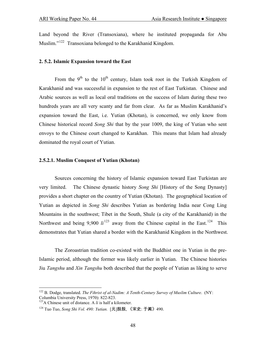Land beyond the River (Transoxiana), where he instituted propaganda for Abu Muslim."[122](#page-47-0) Transoxiana belonged to the Karakhanid Kingdom.

#### **2. 5.2. Islamic Expansion toward the East**

From the  $9<sup>th</sup>$  to the 10<sup>th</sup> century, Islam took root in the Turkish Kingdom of Karakhanid and was successful in expansion to the rest of East Turkistan. Chinese and Arabic sources as well as local oral traditions on the success of Islam during these two hundreds years are all very scanty and far from clear. As far as Muslim Karakhanid's expansion toward the East, i.e. Yutian (Khotan), is concerned, we only know from Chinese historical record *Song Shi* that by the year 1009, the king of Yutian who sent envoys to the Chinese court changed to Karakhan. This means that Islam had already dominated the royal court of Yutian.

#### **2.5.2.1. Muslim Conquest of Yutian (Khotan)**

Sources concerning the history of Islamic expansion toward East Turkistan are very limited. The Chinese dynastic history *Song Shi* [History of the Song Dynasty] provides a short chapter on the country of Yutian (Khotan). The geographical location of Yutian as depicted in *Song Shi* describes Yutian as bordering India near Cong Ling Mountains in the southwest; Tibet in the South, Shule (a city of the Karakhanid) in the Northwest and being 9,900  $li^{123}$  $li^{123}$  $li^{123}$  away from the Chinese capital in the East.<sup>[124](#page-47-2)</sup> This demonstrates that Yutian shared a border with the Karakhanid Kingdom in the Northwest.

The Zoroastrian tradition co-existed with the Buddhist one in Yutian in the pre-Islamic period, although the former was likely earlier in Yutian. The Chinese histories Jiu *Tangshu* and *Xin Tangshu* both described that the people of Yutian as liking to serve

<span id="page-47-0"></span><sup>122</sup> B. Dodge, translated. *The Fihrist of al-Nadim: A Tenth-Century Survey of Muslim Culture*. (NY: Columbia University Press, 1970): 822-823.

<span id="page-47-1"></span><sup>&</sup>lt;sup>123</sup>A Chinese unit of distance. A  $li$  is half a kilometer.

<span id="page-47-2"></span><sup>&</sup>lt;sup>124</sup> Tuo Tuo, *Song Shi Vol. 490: Yutian.* [元]脱脱, 《宋史: 于阗》490.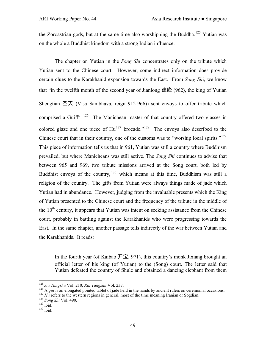the Zoroastrian gods, but at the same time also worshipping the Buddha.<sup>[125](#page-48-0)</sup> Yutian was on the whole a Buddhist kingdom with a strong Indian influence.

The chapter on Yutian in the *Song Shi* concentrates only on the tribute which Yutian sent to the Chinese court. However, some indirect information does provide certain clues to the Karakhanid expansion towards the East. From *Song Shi*, we know that "in the twelfth month of the second year of Jianlong 建隆 (962), the king of Yutian Shengtian 圣天 (Visa Sambhava, reign 912-966)) sent envoys to offer tribute which comprised a Gui $\pm$ . <sup>[126](#page-48-1)</sup> The Manichean master of that country offered two glasses in colored glaze and one piece of  $\text{Hu}^{127}$  $\text{Hu}^{127}$  $\text{Hu}^{127}$  brocade."<sup>[128](#page-48-3)</sup> The envoys also described to the Chinese court that in their country, one of the customs was to "worship local spirits."<sup>129</sup> This piece of information tells us that in 961, Yutian was still a country where Buddhism prevailed, but where Manicheans was still active. The *Song Shi* continues to advise that between 965 and 969, two tribute missions arrived at the Song court, both led by Buddhist envoys of the country,  $130$  which means at this time, Buddhism was still a religion of the country. The gifts from Yutian were always things made of jade which Yutian had in abundance. However, judging from the invaluable presents which the King of Yutian presented to the Chinese court and the frequency of the tribute in the middle of the  $10<sup>th</sup>$  century, it appears that Yutian was intent on seeking assistance from the Chinese court, probably in battling against the Karakhanids who were progressing towards the East. In the same chapter, another passage tells indirectly of the war between Yutian and the Karakhanids. It reads:

In the fourth year (of Kaibao  $\overline{H}$   $\overline{\mathbb{E}}$ , 971), this country's monk Jixiang brought an official letter of his king (of Yutian) to the (Song) court. The letter said that Yutian defeated the country of Shule and obtained a dancing elephant from them

<span id="page-48-0"></span><sup>&</sup>lt;sup>125</sup> Jiu Tangshu Vol. 210; Xin Tangshu Vol. 237.

<span id="page-48-1"></span><sup>&</sup>lt;sup>126</sup> A *gui* is an elongated pointed tablet of jade held in the hands by ancient rulers on ceremonial occasions.<br><sup>127</sup> *Hu* refers to the western regions in general, most of the time meaning Iranian or Sogdian.<br><sup>128</sup> *So* 

<span id="page-48-3"></span><span id="page-48-2"></span>

<span id="page-48-5"></span><span id="page-48-4"></span>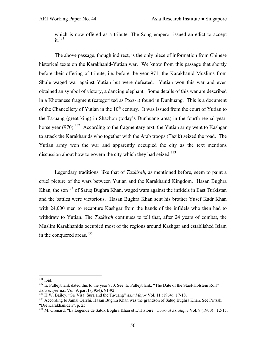which is now offered as a tribute. The Song emperor issued an edict to accept  $it$ <sup>[131](#page-49-0)</sup>

The above passage, though indirect, is the only piece of information from Chinese historical texts on the Karakhanid-Yutian war. We know from this passage that shortly before their offering of tribute, i.e. before the year 971, the Karakhanid Muslims from Shule waged war against Yutian but were defeated. Yutian won this war and even obtained an symbol of victory, a dancing elephant. Some details of this war are described in a Khotanese fragment (categorized as P5538a) found in Dunhuang. This is a document of the Chancellery of Yutian in the  $10<sup>th</sup>$  century. It was issued from the court of Yutian to the Ta-uang (great king) in Shazhou (today's Dunhuang area) in the fourth regnal year, horse year (970).<sup>[132](#page-49-1)</sup> According to the fragmentary text, the Yutian army went to Kashgar to attack the Karakhanids who together with the Arab troops (Tazik) seized the road. The Yutian army won the war and apparently occupied the city as the text mentions discussion about how to govern the city which they had seized.<sup>[133](#page-49-2)</sup>

Legendary traditions, like that of *Tazkirah*, as mentioned before, seem to paint a cruel picture of the wars between Yutian and the Karakhanid Kingdom. Hasan Bughra Khan, the son<sup>[134](#page-49-3)</sup> of Satuq Bughra Khan, waged wars against the infidels in East Turkistan and the battles were victorious. Hasan Bughra Khan sent his brother Yusef Kadr Khan with 24,000 men to recapture Kashgar from the hands of the infidels who then had to withdraw to Yutian. The *Tazkirah* continues to tell that, after 24 years of combat, the Muslim Karakhanids occupied most of the regions around Kashgar and established Islam in the conquered areas. $135$ 

<span id="page-49-0"></span> $131$  ibid.

<span id="page-49-1"></span> $132$  E. Pulleyblank dated this to the year 970. See E. Pulleyblank, "The Date of the Staël-Holstein Roll" Asia Major n.s. Vol. 9, part I (1954): 91-92.<br><sup>133</sup> H.W. Bailey. "Śrī Viśa Śūra and the Ta-uang" Asia Major Vol. 11 (1964): 17-18.<br><sup>134</sup> According to Jamal Qarshi, Hasan Bughra Khan was the grandson of Satuq Bughra Khan. S

<span id="page-49-3"></span><span id="page-49-2"></span><sup>&</sup>quot;Die Karakhaniden", p. 25.

<span id="page-49-4"></span><sup>135</sup> M. Grenard, "La Légende de Satok Boghra Khan et L'Histoire" *Journal Asiatique* Vol. 9 (1900) : 12-15.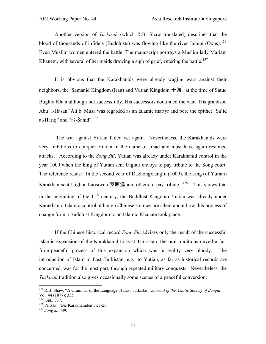Another version of *Tazkirah* (which R.B. Shaw translated) describes that the blood of thousands of infidels (Buddhists) was flowing like the river Jaihun (Oxus).<sup>136</sup> Even Muslim women entered the battle. The manuscript portrays a Muslim lady Mariam Khanem, with several of her maids drawing a sigh of grief, entering the battle.<sup>[137](#page-50-1)</sup>

It is obvious that the Karakhanids were already waging wars against their neighbors, the Samanid Kingdom (Iran) and Yutian Kingdom 于阗, at the time of Satuq Bughra Khan although not successfully. His successors continued the war. His grandson Abu' l-Hasan `Ali b. Musa was regarded as an Islamic martyr and bore the epithet "Sa'id al-Hariq" and "aš-Šahid". $138$ 

 The war against Yutian failed yet again. Nevertheless, the Karakhanids were very ambitious to conquer Yutian in the name of Jihad and must have again resumed attacks. According to the *Song Shi*, Yutian was already under Karakhanid control in the year 1009 when the king of Yutian sent Uighur envoys to pay tribute to the Song court. The reference reads: "In the second year of Dazhongxiangfu (1009), the king (of Yutian) Karakhan sent Uighur Luosiwen 罗厮温 and others to pay tribute.<sup> $139$ </sup> This shows that in the beginning of the  $11<sup>th</sup>$  century, the Buddhist Kingdom Yutian was already under Karakhanid Islamic control although Chinese sources are silent about how this process of change from a Buddhist Kingdom to an Islamic Khanate took place.

If the Chinese historical record *Song Shi* advises only the result of the successful Islamic expansion of the Karakhanid to East Turkistan, the oral traditions unveil a farfrom-peaceful process of this expansion which was in reality very bloody. The introduction of Islam to East Turkistan, e.g., to Yutian, as far as historical records are concerned, was for the most part, through repeated military conquests. Nevertheless, the *Tazkirah* tradition also gives occasionally some scenes of a peaceful conversion:

<span id="page-50-0"></span><sup>136</sup> R.B. Shaw. "A Grammar of the Language of East Turkistan" *Journal of the Asiatic Society of Bengal* Vol. 44 (1877): 335.<br><sup>137</sup> ibid., 337.

<span id="page-50-3"></span><span id="page-50-2"></span><span id="page-50-1"></span><sup>&</sup>lt;sup>138</sup> Pritsak, "Die Karakhaniden", 25-26. <sup>139</sup> *Song Shi* 490.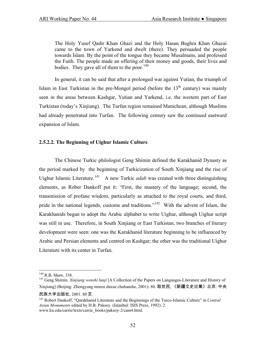The Holy Yusef Qadir Khan Ghazi and the Holy Hasan Bughra Khan Ghazai came to the town of Yarkend and dwelt (there). They persuaded the people towards Islam. By the point of the tongue they became Musalmans, and professed the Faith. The people made an offering of their money and goods, their lives and bodies. They gave all of them to the poor.<sup>[140](#page-51-0)</sup>

 In general, it can be said that after a prolonged war against Yutian, the triumph of Islam in East Turkistan in the pre-Mongol period (before the  $13<sup>th</sup>$  century) was mainly seen in the areas between Kashgar, Yutian and Yarkend, i.e. the western part of East Turkistan (today's Xinjiang). The Turfan region remained Manichean, although Muslims had already penetrated into Turfan. The following century saw the continued eastward expansion of Islam.

## **2.5.2.2. The Beginning of Uighur Islamic Culture**

The Chinese Turkic philologist Geng Shimin defined the Karakhanid Dynasty as the period marked by the beginning of Turkicization of South Xinjiang and the rise of Uighur Islamic Literature.[141](#page-51-1) A new Turkic *adab* was created with three distinguishing elements, as Rober Dankoff put it: "First, the mastery of the language; second, the transmission of profane wisdom, particularly as attached to the royal courts, and third, pride in the national legends, customs and traditions."<sup>[142](#page-51-2)</sup> With the advent of Islam, the Karakhanids began to adopt the Arabic alphabet to write Uighur, although Uighur script was still in use. Therefore, in South Xinjiang or East Turkistan, two branches of literary development were seen: one was the Karakhanid literature beginning to be influenced by Arabic and Persian elements and centred on Kashgar; the other was the traditional Uighur Literature with its center in Turfan.

<span id="page-51-0"></span> $140$  R.B. Shaw, 338.

<span id="page-51-1"></span><sup>&</sup>lt;sup>141</sup> Geng Shimin. *Xinjiang wenshi lunji* [A Collection of the Papers on Languages-Literature and History of Xinjiang] (Beijing: Zhongyang minzu daxue chubanshe, 2001): 80. 耿世民, 《新疆文史论集》北京: 中央

<span id="page-51-2"></span>民族大学出版社, 2001. 80 页.<br><sup>142</sup> Robert Dankoff, "Qarakhanid Literature and the Beginnings of the Turco-Islamic Culture" in *Central Asian Monuments* edited by H.B. Paksoy (Istanbul: ISIS Press, 1992): 2. www.ku.edu/carrie/texts/carrie\_books/paksoy-2/cam4.html.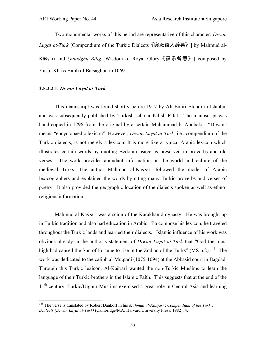Two monumental works of this period are representative of this character: *Diwan Lugat at-Turk* [Compendium of the Turkic Dialects《突厥语大辞典》] by Mahmud al-Kāšγari and *Qutadghu Bilig* [Wisdom of Royal Glory《福乐智慧》] composed by Yusuf Khass Hajib of Balsaghun in 1069.

## **2.5.2.2.1.** *Dīwan Luγāt at-Turk*

 $\overline{a}$ 

This manuscript was found shortly before 1917 by Ali Emiri Efendi in Istanbul and was subsequently published by Turkish scholar Kilisli Rifat. The manuscript was hand-copied in 1296 from the original by a certain Muhammad b. Abūbakr. "Dīwan" means "encyclopaedic lexicon". However, *Dīwan Luγāt at-Turk,* i.e., compendium of the Turkic dialects, is not merely a lexicon. It is more like a typical Arabic lexicon which illustrates certain words by quoting Bedouin usage as preserved in proverbs and old verses. The work provides abundant information on the world and culture of the medieval Turks. The author Mahmud al-Kāšγari followed the model of Arabic lexicographers and explained the words by citing many Turkic proverbs and verses of poetry. It also provided the geographic location of the dialects spoken as well as ethnoreligious information.

Mahmud al-Kāšγari was a scion of the Karakhanid dynasty. He was brought up in Turkic tradition and also had education in Arabic. To compose his lexicon, he traveled throughout the Turkic lands and learned their dialects. Islamic influence of his work was obvious already in the author's statement of *Dīwan Luγāt at-Turk* that "God the most high had caused the Sun of Fortune to rise in the Zodiac of the Turks" (MS p.2).<sup>[143](#page-52-0)</sup> The work was dedicated to the caliph al-Muqtadi (1075-1094) at the Abbasid court in Bagdad. Through this Turkic lexicon, Al-Kāšγari wanted the non-Turkic Muslims to learn the language of their Turkic brothers in the Islamic Faith. This suggests that at the end of the 11<sup>th</sup> century, Turkic/Uighur Muslims exercised a great role in Central Asia and learning

<span id="page-52-0"></span><sup>143</sup> The verse is translated by Robert Dankoff in his *Mahmud al-Kāšγari* : *Compendium of the Turkic Dialects (Dīwan Luγāt at-Turk)* (Cambridge/MA: Harvard University Press, 1982): 4.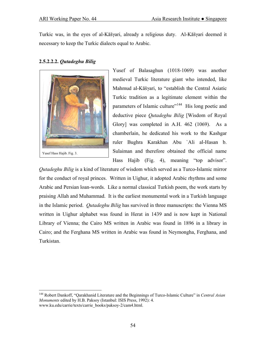Turkic was, in the eyes of al-Kāšγari, already a religious duty. Al-Kāšγari deemed it necessary to keep the Turkic dialects equal to Arabic.

# **2.5.2.2.2.** *Qutadeghu Bilig*



 $\overline{a}$ 

Yusef of Balasaghun (1018-1069) was another medieval Turkic literature giant who intended, like Mahmud al-Kāšγari, to "establish the Central Asiatic Turkic tradition as a legitimate element within the parameters of Islamic culture"<sup>[144](#page-53-0)</sup> His long poetic and deductive piece *Qutadeghu Bilig* [Wisdom of Royal Glory] was completed in A.H. 462 (1069). As a chamberlain, he dedicated his work to the Kashgar ruler Bughra Karakhan Abu `Ali al-Hasan b. Sulaiman and therefore obtained the official name Hass Hajib (Fig. 4), meaning "top advisor".

*Qutadeghu Bilig* is a kind of literature of wisdom which served as a Turco-Islamic mirror for the conduct of royal princes. Written in Uighur, it adopted Arabic rhythms and some Arabic and Persian loan-words. Like a normal classical Turkish poem, the work starts by praising Allah and Muhammad. It is the earliest monumental work in a Turkish language in the Islamic period. *Qutadeghu Bilig* has survived in three manuscripts: the Vienna MS written in Uighur alphabet was found in Herat in 1439 and is now kept in National Library of Vienna; the Cairo MS written in Arabic was found in 1896 in a library in Cairo; and the Ferghana MS written in Arabic was found in Neymongha, Ferghana, and Turkistan.

<span id="page-53-0"></span><sup>144</sup> Robert Dankoff, "Qarakhanid Literature and the Beginnings of Turco-Islamic Culture" in *Central Asian Monuments* edited by H.B. Paksoy (Istanbul: ISIS Press, 1992): 4. www.ku.edu/carrie/texts/carrie\_books/paksoy-2/cam4.html.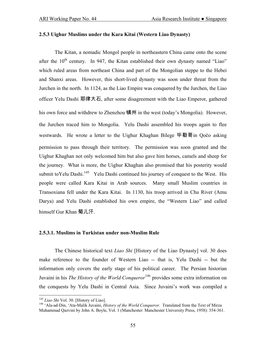## **2.5.3 Uighur Muslims under the Kara Kitai (Western Liao Dynasty)**

 The Kitan, a nomadic Mongol people in northeastern China came onto the scene after the  $10<sup>th</sup>$  century. In 947, the Kitan established their own dynasty named "Liao" which ruled areas from northeast China and part of the Mongolian steppe to the Hebei and Shanxi areas. However, this short-lived dynasty was soon under threat from the Jurchen in the north. In 1124, as the Liao Empire was conquered by the Jurchen, the Liao officer Yelu Dashi 耶律大石, after some disagreement with the Liao Emperor, gathered his own force and withdrew to Zhenzhou 镇州 in the west (today's Mongolia). However, the Jurchen traced him to Mongolia. Yelu Dashi assembled his troops again to flee westwards. He wrote a letter to the Uighur Khaghan Bilege 毕勒哥in Qočo asking permission to pass through their territory. The permission was soon granted and the Uighur Khaghan not only welcomed him but also gave him horses, camels and sheep for the journey. What is more, the Uighur Khaghan also promised that his posterity would submit toYelu Dashi.<sup>[145](#page-54-0)</sup> Yelu Dashi continued his journey of conquest to the West. His people were called Kara Kitai in Arab sources. Many small Muslim countries in Transoxiana fell under the Kara Kitai. In 1130, his troop arrived in Chu River (Amu Darya) and Yelu Dashi established his own empire, the "Western Liao" and called himself Gur Khan 菊儿汗.

#### **2.5.3.1. Muslims in Turkistan under non-Muslim Rule**

The Chinese historical text *Liao Shi* [History of the Liao Dynasty] vol. 30 does make reference to the founder of Western Liao -- that is, Yelu Dashi -- but the information only covers the early stage of his political career. The Persian historian Juvaini in his *The History of the World Conqueror*<sup>[146](#page-54-1)</sup> provides some extra information on the conquests by Yelu Dashi in Central Asia. Since Juvaini's work was compiled a

<span id="page-54-1"></span><span id="page-54-0"></span><sup>&</sup>lt;sup>145</sup> *Liao Shi* Vol. 30. [History of Liao].<br><sup>146</sup> 'Ala-ad-Din, 'Ata-Malik Juvaini, *History of the World Conqueror*. Translated from the Text of Mirza Muhammad Qazvini by John A. Boyle, Vol. 1 (Manchester: Manchester University Press, 1958): 354-361.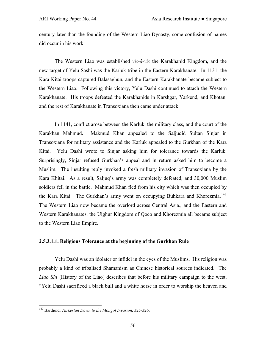century later than the founding of the Western Liao Dynasty, some confusion of names did occur in his work.

The Western Liao was established *vis-à-vis* the Karakhanid Kingdom, and the new target of Yelu Sashi was the Karluk tribe in the Eastern Karakhanate. In 1131, the Kara Kitai troops captured Balasaghun, and the Eastern Karakhanate became subject to the Western Liao. Following this victory, Yelu Dashi continued to attach the Western Karakhanate. His troops defeated the Karakhanids in Karshgar, Yarkend, and Khotan, and the rest of Karakhanate in Transoxiana then came under attack.

In 1141, conflict arose between the Karluk, the military class, and the court of the Karakhan Mahmud. Makmud Khan appealed to the Saljuqid Sultan Sinjar in Transoxiana for military assistance and the Karluk appealed to the Gurkhan of the Kara Kitai. Yelu Dashi wrote to Sinjar asking him for tolerance towards the Karluk. Surprisingly, Sinjar refused Gurkhan's appeal and in return asked him to become a Muslim. The insulting reply invoked a fresh military invasion of Transoxiana by the Kara Khitai. As a result, Saljuq's army was completely defeated, and 30,000 Muslim soldiers fell in the battle. Mahmud Khan fled from his city which was then occupied by the Kara Kitai. The Gurkhan's army went on occupying Buhkara and Khorezmia.<sup>[147](#page-55-0)</sup> The Western Liao now became the overlord across Central Asia., and the Eastern and Western Karakhanates, the Uighur Kingdom of Qočo and Khorezmia all became subject to the Western Liao Empire.

## **2.5.3.1.1. Religious Tolerance at the beginning of the Gurkhan Rule**

Yelu Dashi was an idolater or infidel in the eyes of the Muslims. His religion was probably a kind of tribalised Shamanism as Chinese historical sources indicated. The *Liao Shi* [History of the Liao] describes that before his military campaign to the west, "Yelu Dashi sacrificed a black bull and a white horse in order to worship the heaven and

<u>.</u>

<span id="page-55-0"></span><sup>147</sup> Barthold, *Turkestan Down to the Mongol Invasion*, 325-326.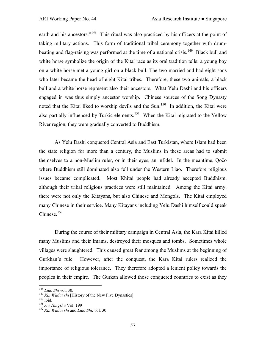earth and his ancestors."<sup>[148](#page-56-0)</sup> This ritual was also practiced by his officers at the point of taking military actions. This form of traditional tribal ceremony together with drum-beating and flag-raising was performed at the time of a national crisis.<sup>[149](#page-56-1)</sup> Black bull and white horse symbolize the origin of the Kitai race as its oral tradition tells: a young boy on a white horse met a young girl on a black bull. The two married and had eight sons who later became the head of eight Kitai tribes. Therefore, these two animals, a black bull and a white horse represent also their ancestors. What Yelu Dashi and his officers engaged in was thus simply ancestor worship. Chinese sources of the Song Dynasty noted that the Kitai liked to worship devils and the Sun.<sup>[150](#page-56-2)</sup> In addition, the Kitai were also partially influenced by Turkic elements.<sup>[151](#page-56-3)</sup> When the Kitai migrated to the Yellow River region, they were gradually converted to Buddhism.

As Yelu Dashi conquered Central Asia and East Turkistan, where Islam had been the state religion for more than a century, the Muslims in these areas had to submit themselves to a non-Muslim ruler, or in their eyes, an infidel. In the meantime, Qočo where Buddhism still dominated also fell under the Western Liao. Therefore religious issues became complicated. Most Khitai people had already accepted Buddhism, although their tribal religious practices were still maintained. Among the Kitai army, there were not only the Kitayans, but also Chinese and Mongols. The Kitai employed many Chinese in their service. Many Kitayans including Yelu Dashi himself could speak Chinese.<sup>[152](#page-56-4)</sup>

During the course of their military campaign in Central Asia, the Kara Kitai killed many Muslims and their Imams, destroyed their mosques and tombs. Sometimes whole villages were slaughtered. This caused great fear among the Muslims at the beginning of Gurkhan's rule. However, after the conquest, the Kara Kitai rulers realized the importance of religious tolerance. They therefore adopted a lenient policy towards the peoples in their empire. The Gurkan allowed those conquered countries to exist as they

<span id="page-56-0"></span><sup>&</sup>lt;sup>148</sup> Liao Shi vol. 30.

<span id="page-56-1"></span><sup>&</sup>lt;sup>149</sup> *Xin Wudai shi* [History of the New Five Dynasties]<br><sup>150</sup> ibid. <sup>151</sup> *Jiu Tangshu* Vol. 199 <sup>152</sup> *Xin Wudai shi* and *Liao Shi*, vol. 30

<span id="page-56-3"></span><span id="page-56-2"></span>

<span id="page-56-4"></span>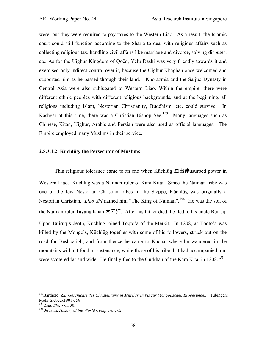were, but they were required to pay taxes to the Western Liao. As a result, the Islamic court could still function according to the Sharia to deal with religious affairs such as collecting religious tax, handling civil affairs like marriage and divorce, solving disputes, etc. As for the Uighur Kingdom of Qočo, Yelu Dashi was very friendly towards it and exercised only indirect control over it, because the Uighur Khaghan once welcomed and supported him as he passed through their land. Khorazmia and the Saljuq Dynasty in Central Asia were also subjugated to Western Liao. Within the empire, there were different ethnic peoples with different religious backgrounds, and at the beginning, all religions including Islam, Nestorian Christianity, Buddhism, etc. could survive. In Kashgar at this time, there was a Christian Bishop See.<sup>[153](#page-57-0)</sup> Many languages such as Chinese, Kitan, Uighur, Arabic and Persian were also used as official languages. The Empire employed many Muslims in their service.

## **2.5.3.1.2. Küchlüg, the Persecutor of Muslims**

This religious tolerance came to an end when Küchlüg 屈出律usurped power in Western Liao. Kuchlug was a Naiman ruler of Kara Kitai. Since the Naiman tribe was one of the few Nestorian Christian tribes in the Steppe, Küchlüg was originally a Nestorian Christian. *Liao Shi* named him "The King of Naiman".[154](#page-57-1) He was the son of the Naiman ruler Tayang Khan 太阳汗. After his father died, he fled to his uncle Buiruq. Upon Buiruq's death, Küchlüg joined Toqto'a of the Merkit. In 1208, as Toqto'a was killed by the Mongols, Küchlüg together with some of his followers, struck out on the road for Beshbaligh, and from thence he came to Kucha, where he wandered in the mountains without food or sustenance, while those of his tribe that had accompanied him were scattered far and wide. He finally fled to the Gurkhan of the Kara Kitai in 1208.<sup>[155](#page-57-2)</sup>

<span id="page-57-0"></span><sup>153</sup>Barthold, *Zur Geschichte des Christentums in Mittelasien bis zur Mongolischen Eroberungen*. (Tübingen: Mohr Siebeck1901): 58

<span id="page-57-2"></span><span id="page-57-1"></span><sup>154</sup> *Liao Shi*, Vol. 30. 155 Juvaini, *History of the World Conqueror*, 62.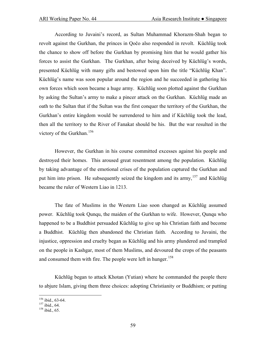According to Juvaini's record, as Sultan Muhammad Khorazm-Shah began to revolt against the Gurkhan, the princes in Qočo also responded in revolt. Küchlüg took the chance to show off before the Gurkhan by promising him that he would gather his forces to assist the Gurkhan. The Gurkhan, after being deceived by Küchlüg's words, presented Küchlüg with many gifts and bestowed upon him the title "Küchlüg Khan". Küchlüg's name was soon popular around the region and he succeeded in gathering his own forces which soon became a huge army. Küchlüg soon plotted against the Gurkhan by asking the Sultan's army to make a pincer attack on the Gurkhan. Küchlüg made an oath to the Sultan that if the Sultan was the first conquer the territory of the Gurkhan, the Gurkhan's entire kingdom would be surrendered to him and if Küchlüg took the lead, then all the territory to the River of Fanakat should be his. But the war resulted in the victory of the Gurkhan.<sup>[156](#page-58-0)</sup>

However, the Gurkhan in his course committed excesses against his people and destroyed their homes. This aroused great resentment among the population. Küchlüg by taking advantage of the emotional crises of the population captured the Gurkhan and put him into prison. He subsequently seized the kingdom and its army,  $157$  and Küchlüg became the ruler of Western Liao in 1213.

The fate of Muslims in the Western Liao soon changed as Küchlüg assumed power. Küchlüg took Qunqu, the maiden of the Gurkhan to wife. However, Qunqu who happened to be a Buddhist persuaded Küchlüg to give up his Christian faith and become a Buddhist. Küchlüg then abandoned the Christian faith. According to Juvaini, the injustice, oppression and cruelty began as Küchlüg and his army plundered and trampled on the people in Kashgar, most of them Muslims, and devoured the crops of the peasants and consumed them with fire. The people were left in hunger.<sup>[158](#page-58-2)</sup>

Küchlüg began to attack Khotan (Yutian) where he commanded the people there to abjure Islam, giving them three choices: adopting Christianity or Buddhism; or putting

<span id="page-58-0"></span><sup>&</sup>lt;sup>156</sup> ibid., 63-64.

<span id="page-58-2"></span><span id="page-58-1"></span> $\frac{157}{158}$  ibid., 64. 158 ibid., 65.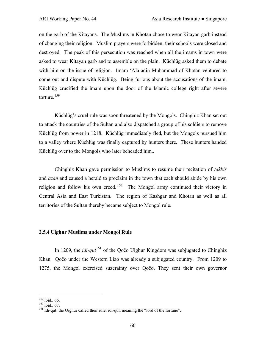on the garb of the Kitayans. The Muslims in Khotan chose to wear Kitayan garb instead of changing their religion. Muslim prayers were forbidden; their schools were closed and destroyed. The peak of this persecution was reached when all the imams in town were asked to wear Kitayan garb and to assemble on the plain. Küchlüg asked them to debate with him on the issue of religion. Imam 'Ala-adin Muhammad of Khotan ventured to come out and dispute with Küchlüg. Being furious about the accusations of the imam, Küchlüg crucified the imam upon the door of the Islamic college right after severe torture.<sup>[159](#page-59-0)</sup>

Küchlüg's cruel rule was soon threatened by the Mongols. Chinghiz Khan set out to attack the countries of the Sultan and also dispatched a group of his soldiers to remove Küchlüg from power in 1218. Küchlüg immediately fled, but the Mongols pursued him to a valley where Küchlüg was finally captured by hunters there. These hunters handed Küchlüg over to the Mongols who later beheaded him..

Chinghiz Khan gave permission to Muslims to resume their recitation of *takbir* and *azan* and caused a herald to proclaim in the town that each should abide by his own religion and follow his own creed.<sup>[160](#page-59-1)</sup> The Mongol army continued their victory in Central Asia and East Turkistan. The region of Kashgar and Khotan as well as all territories of the Sultan thereby became subject to Mongol rule.

## **2.5.4 Uighur Muslims under Mongol Rule**

In 1209, the *idi-qut*<sup>[161](#page-59-2)</sup> of the Qočo Uighur Kingdom was subjugated to Chinghiz Khan. Qočo under the Western Liao was already a subjugated country. From 1209 to 1275, the Mongol exercised suzerainty over Qočo. They sent their own governor

<span id="page-59-0"></span> $159$  ibid., 66.

<span id="page-59-2"></span><span id="page-59-1"></span> $160$  ibid., 67.<br><sup>161</sup> Idi-qut: the Uighur called their ruler idi-qut, meaning the "lord of the fortune".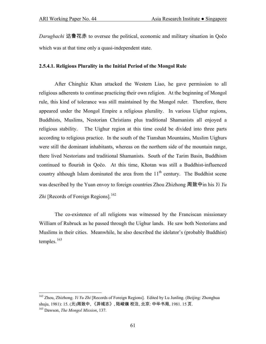*Darugbachi* 达鲁花赤 to oversee the political, economic and military situation in Qočo which was at that time only a quasi-independent state.

## **2.5.4.1. Religious Plurality in the Initial Period of the Mongol Rule**

After Chinghiz Khan attacked the Western Liao, he gave permission to all religious adherents to continue practicing their own religion. At the beginning of Mongol rule, this kind of tolerance was still maintained by the Mongol ruler. Therefore, there appeared under the Mongol Empire a religious plurality. In various Uighur regions, Buddhists, Muslims, Nestorian Christians plus traditional Shamanists all enjoyed a religious stability. The Uighur region at this time could be divided into three parts according to religious practice. In the south of the Tianshan Mountains, Muslim Uighurs were still the dominant inhabitants, whereas on the northern side of the mountain range, there lived Nestorians and traditional Shamanists. South of the Tarim Basin, Buddhism continued to flourish in Qočo. At this time, Khotan was still a Buddhist-influenced country although Islam dominated the area from the  $11<sup>th</sup>$  century. The Buddhist scene was described by the Yuan envoy to foreign countries Zhou Zhizhong 周致中in his *Yi Yu Zhi* [Records of Foreign Regions].<sup>[162](#page-60-0)</sup>

The co-existence of all religions was witnessed by the Franciscan missionary William of Rubruck as he passed through the Uighur lands. He saw both Nestorians and Muslims in their cities. Meanwhile, he also described the idolator's (probably Buddhist) temples. $163$ 

<span id="page-60-0"></span><sup>162</sup> Zhou, Zhizhong. *Yi Yu Zhi* [Records of Foreign Regions]. Edited by Lu Junling. (Beijing: Zhonghua shuju, 1981): 15. (元)周致中, 《异域志》, 陆峻嶺 校注, 北京: 中华书局, 1981. 15 <sup>页</sup>. 163 Dawson, *The Mongol Mission*, 137.

<span id="page-60-1"></span>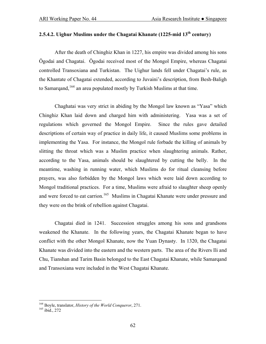# **2.5.4.2. Uighur Muslims under the Chagatai Khanate (1225-mid 13th century)**

 After the death of Chinghiz Khan in 1227, his empire was divided among his sons Ögodai and Chagatai. Ögodai received most of the Mongol Empire, whereas Chagatai controlled Transoxiana and Turkistan. The Uighur lands fell under Chagatai's rule, as the Khantate of Chagatai extended, according to Juvaini's description, from Besh-Baligh to Samargand,  $164$  an area populated mostly by Turkish Muslims at that time.

 Chaghatai was very strict in abiding by the Mongol law known as "Yasa" which Chinghiz Khan laid down and charged him with administering. Yasa was a set of regulations which governed the Mongol Empire. Since the rules gave detailed descriptions of certain way of practice in daily life, it caused Muslims some problems in implementing the Yasa. For instance, the Mongol rule forbade the killing of animals by slitting the throat which was a Muslim practice when slaughtering animals. Rather, according to the Yasa, animals should be slaughtered by cutting the belly. In the meantime, washing in running water, which Muslims do for ritual cleansing before prayers, was also forbidden by the Mongol laws which were laid down according to Mongol traditional practices. For a time, Muslims were afraid to slaughter sheep openly and were forced to eat carrion.<sup>[165](#page-61-1)</sup> Muslims in Chagatai Khanate were under pressure and they were on the brink of rebellion against Chagatai.

 Chagatai died in 1241. Succession struggles among his sons and grandsons weakened the Khanate. In the following years, the Chagatai Khanate began to have conflict with the other Mongol Khanate, now the Yuan Dynasty. In 1320, the Chagatai Khanate was divided into the eastern and the western parts. The area of the Rivers Ili and Chu, Tianshan and Tarim Basin belonged to the East Chagatai Khanate, while Samarqand and Transoxiana were included in the West Chagatai Khanate.

<span id="page-61-0"></span><sup>164</sup> Boyle, translator, *History of the World Conqueror*, 271.<br><sup>165</sup> ibid., 272

<span id="page-61-1"></span>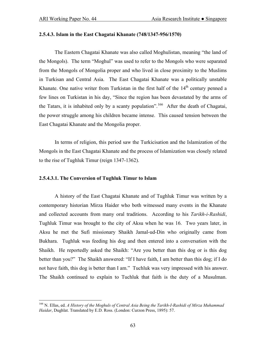#### **2.5.4.3. Islam in the East Chagatai Khanate (748/1347-956/1570)**

The Eastern Chagatai Khanate was also called Moghulistan, meaning "the land of the Mongols). The term "Moghul" was used to refer to the Mongols who were separated from the Mongols of Mongolia proper and who lived in close proximity to the Muslims in Turkisan and Central Asia. The East Chagatai Khanate was a politically unstable Khanate. One native writer from Turkistan in the first half of the  $14<sup>th</sup>$  century penned a few lines on Turkistan in his day, "Since the region has been devastated by the arms of the Tatars, it is inhabited only by a scanty population".<sup>[166](#page-62-0)</sup> After the death of Chagatai, the power struggle among his children became intense. This caused tension between the East Chagatai Khanate and the Mongolia proper.

In terms of religion, this period saw the Turkicisation and the Islamization of the Mongols in the East Chagatai Khanate and the process of Islamization was closely related to the rise of Tughluk Timur (reign 1347-1362).

## **2.5.4.3.1. The Conversion of Tughluk Timur to Islam**

 $\overline{a}$ 

A history of the East Chagatai Khanate and of Tughluk Timur was written by a contemporary historian Mirza Haider who both witnessed many events in the Khanate and collected accounts from many oral traditions. According to his *Tarikh-i-Rashidi*, Tughluk Timur was brought to the city of Aksu when he was 16. Two years later, in Aksu he met the Sufi missionary Shaikh Jamal-ud-Din who originally came from Bukhara. Tughluk was feeding his dog and then entered into a conversation with the Shaikh. He reportedly asked the Shaikh: "Are you better than this dog or is this dog better than you?" The Shaikh answered: "If I have faith, I am better than this dog; if I do not have faith, this dog is better than I am." Tuchluk was very impressed with his answer. The Shaikh continued to explain to Tuchluk that faith is the duty of a Musulman.

<span id="page-62-0"></span><sup>166</sup> N. Ellas, ed. *A History of the Moghuls of Central Asia Being the Tarikh-I-Rashidi of Mirza Muhammad Haidar*, Dughlat. Translated by E.D. Ross. (London: Curzon Press, 1895): 57.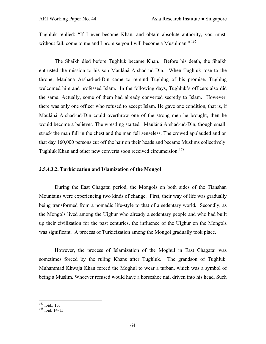Tughluk replied: "If I ever become Khan, and obtain absolute authority, you must, without fail, come to me and I promise you I will become a Musulman."  $167$ 

The Shaikh died before Tughluk became Khan. Before his death, the Shaikh entrusted the mission to his son Mauláná Arshad-ud-Din. When Tughluk rose to the throne, Mauláná Arshad-ud-Din came to remind Tughlug of his promise. Tughlug welcomed him and professed Islam. In the following days, Tughluk's officers also did the same. Actually, some of them had already converted secretly to Islam. However, there was only one officer who refused to accept Islam. He gave one condition, that is, if Mauláná Arshad-ud-Din could overthrow one of the strong men he brought, then he would become a believer. The wrestling started. Mauláná Arshad-ud-Din, though small, struck the man full in the chest and the man fell senseless. The crowed applauded and on that day 160,000 persons cut off the hair on their heads and became Muslims collectively. Tughluk Khan and other new converts soon received circumcision.<sup>[168](#page-63-1)</sup>

#### **2.5.4.3.2. Turkicization and Islamization of the Mongol**

During the East Chagatai period, the Mongols on both sides of the Tianshan Mountains were experiencing two kinds of change. First, their way of life was gradually being transformed from a nomadic life-style to that of a sedentary world. Secondly, as the Mongols lived among the Uighur who already a sedentary people and who had built up their civilization for the past centuries, the influence of the Uighur on the Mongols was significant. A process of Turkicization among the Mongol gradually took place.

However, the process of Islamization of the Moghul in East Chagatai was sometimes forced by the ruling Khans after Tughluk. The grandson of Tughluk, Muhammad Khwaja Khan forced the Moghul to wear a turban, which was a symbol of being a Muslim. Whoever refused would have a horseshoe nail driven into his head. Such

 $\overline{a}$ 

<span id="page-63-1"></span><span id="page-63-0"></span> $\frac{167}{168}$  ibid., 13.<br> $\frac{168}{161}$  ibid. 14-15.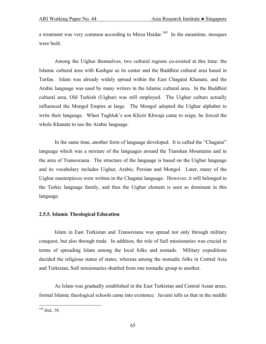a treatment was very common according to Mirza Haidar.<sup>[169](#page-64-0)</sup> In the meantime, mosques were built.

Among the Uighur themselves, two cultural regions co-existed at this time: the Islamic cultural area with Kashgar as its center and the Buddhist cultural area based in Turfan. Islam was already widely spread within the East Chagatai Khanate, and the Arabic language was used by many writers in the Islamic cultural area. In the Buddhist cultural area, Old Turkish (Uighur) was still employed. The Uighur culture actually influenced the Mongol Empire at large. The Mongol adopted the Uighur alphabet to write their language. When Tughluk's son Khizir Khwaja came to reign, he forced the whole Khanate to use the Arabic language.

In the same time, another form of language developed. It is called the "Chagatai" language which was a mixture of the languages around the Tianshan Mountains and in the area of Transoxiana. The structure of the language is based on the Uighur language and its vocabulary includes Uighur, Arabic, Persian and Mongol. Later, many of the Uighur masterpieces were written in the Chagatai language. However, it still belonged to the Turkic language family, and thus the Uighur element is seen as dominant in this language.

#### **2.5.5. Islamic Theological Education**

 Islam in East Turkistan and Transoxiana was spread not only through military conquest, but also through trade. In addition, the role of Sufi missionaries was crucial in terms of spreading Islam among the local folks and nomads. Military expeditions decided the religious status of states, whereas among the nomadic folks in Central Asia and Turkistan, Sufi missionaries shuttled from one nomadic group to another.

 As Islam was gradually established in the East Turkistan and Central Asian areas, formal Islamic theological schools came into existence. Juvaini tells us that in the middle

<span id="page-64-0"></span> $169$  ibid., 58.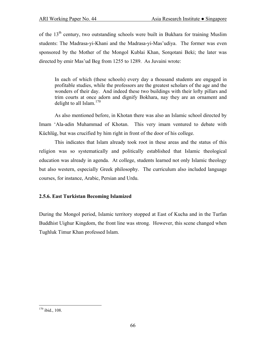of the 13<sup>th</sup> century, two outstanding schools were built in Bukhara for training Muslim students: The Madrasa-yi-Khani and the Madrasa-yi-Mas'udiya. The former was even sponsored by the Mother of the Mongol Kublai Khan, Sorqotani Beki; the later was directed by emir Mas'ud Beg from 1255 to 1289. As Juvaini wrote:

In each of which (these schools) every day a thousand students are engaged in profitable studies, while the professors are the greatest scholars of the age and the wonders of their day. And indeed these two buildings with their lofty pillars and trim courts at once adorn and dignify Bokhara, nay they are an ornament and delight to all Islam.<sup>[170](#page-65-0)</sup>

As also mentioned before, in Khotan there was also an Islamic school directed by Imam 'Ala-adin Muhammad of Khotan. This very imam ventured to debate with Küchlüg, but was crucified by him right in front of the door of his college.

This indicates that Islam already took root in these areas and the status of this religion was so systematically and politically established that Islamic theological education was already in agenda. At college, students learned not only Islamic theology but also western, especially Greek philosophy. The curriculum also included language courses, for instance, Arabic, Persian and Urdu.

# **2.5.6. East Turkistan Becoming Islamized**

During the Mongol period, Islamic territory stopped at East of Kucha and in the Turfan Buddhist Uighur Kingdom, the front line was strong. However, this scene changed when Tughluk Timur Khan professed Islam.

<span id="page-65-0"></span> $\overline{a}$  $170$  ibid., 108.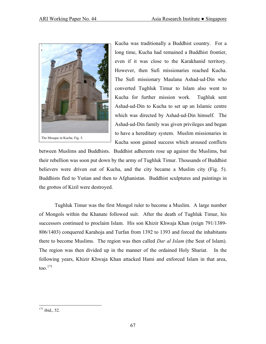

Kucha was traditionally a Buddhist country. For a long time, Kucha had remained a Buddhist frontier, even if it was close to the Karakhanid territory. However, then Sufi missionaries reached Kucha. The Sufi missionary Maulana Ashad-ud-Din who converted Tughluk Timur to Islam also went to Kucha for further mission work. Tughluk sent Ashad-ud-Din to Kucha to set up an Islamic centre which was directed by Ashad-ud-Din himself. The Ashad-ud-Din family was given privileges and began to have a hereditary system. Muslim missionaries in Kucha soon gained success which aroused conflicts

between Muslims and Buddhists. Buddhist adherents rose up against the Muslims, but their rebellion was soon put down by the army of Tughluk Timur. Thousands of Buddhist believers were driven out of Kucha, and the city became a Muslim city (Fig. 5). Buddhists fled to Yutian and then to Afghanistan. Buddhist sculptures and paintings in the grottos of Kizil were destroyed.

Tughluk Timur was the first Mongol ruler to become a Muslim. A large number of Mongols within the Khanate followed suit. After the death of Tughluk Timur, his successors continued to proclaim Islam. His son Khizir Khwaja Khan (reign 791/1389- 806/1403) conquered Karahoja and Turfan from 1392 to 1393 and forced the inhabitants there to become Muslims. The region was then called *Dar al Islam* (the Seat of Islam). The region was then divided up in the manner of the ordained Holy Shariat. In the following years, Khizir Khwaja Khan attacked Hami and enforced Islam in that area, too. $171$ 

<span id="page-66-0"></span> $\overline{a}$  $171$  ibid., 52.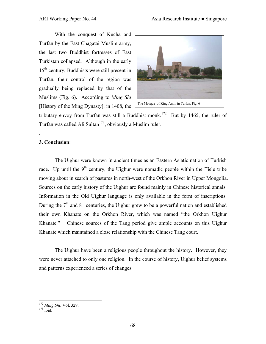With the conquest of Kucha and Turfan by the East Chagatai Muslim army, the last two Buddhist fortresses of East Turkistan collapsed. Although in the early 15th century, Buddhists were still present in Turfan, their control of the region was gradually being replaced by that of the Muslims (Fig. 6). According to *Ming Shi* [History of the Ming Dynasty], in 1408, the



tributary envoy from Turfan was still a Buddhist monk.<sup>[172](#page-67-0)</sup> But by 1465, the ruler of Turfan was called Ali Sultan<sup>[173](#page-67-1)</sup>, obviously a Muslim ruler.

## **3. Conclusion**:

.

 The Uighur were known in ancient times as an Eastern Asiatic nation of Turkish race. Up until the  $9<sup>th</sup>$  century, the Uighur were nomadic people within the Tiele tribe moving about in search of pastures in north-west of the Orkhon River in Upper Mongolia. Sources on the early history of the Uighur are found mainly in Chinese historical annals. Information in the Old Uighur language is only available in the form of inscriptions. During the  $7<sup>th</sup>$  and  $8<sup>th</sup>$  centuries, the Uighur grew to be a powerful nation and established their own Khanate on the Orkhon River, which was named "the Orkhon Uighur Khanate." Chinese sources of the Tang period give ample accounts on this Uighur Khanate which maintained a close relationship with the Chinese Tang court.

The Uighur have been a religious people throughout the history. However, they were never attached to only one religion. In the course of history, Uighur belief systems and patterns experienced a series of changes.

<span id="page-67-0"></span><sup>&</sup>lt;sup>172</sup> *Ming Shi*. Vol. 329.<br><sup>173</sup> ibid.

<span id="page-67-1"></span>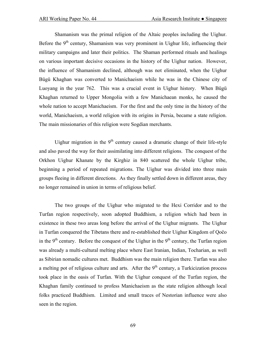Shamanism was the primal religion of the Altaic peoples including the Uighur. Before the  $9<sup>th</sup>$  century, Shamanism was very prominent in Uighur life, influencing their military campaigns and later their politics. The Shaman performed rituals and healings on various important decisive occasions in the history of the Uighur nation. However, the influence of Shamanism declined, although was not eliminated, when the Uighur Bügü Khaghan was converted to Manichaeism while he was in the Chinese city of Luoyang in the year 762. This was a crucial event in Uighur history. When Bügü Khaghan returned to Upper Mongolia with a few Manichaean monks, he caused the whole nation to accept Manichaeism. For the first and the only time in the history of the world, Manichaeism, a world religion with its origins in Persia, became a state religion. The main missionaries of this religion were Sogdian merchants.

Uighur migration in the  $9<sup>th</sup>$  century caused a dramatic change of their life-style and also paved the way for their assimilating into different religions. The conquest of the Orkhon Uighur Khanate by the Kirghiz in 840 scattered the whole Uighur tribe, beginning a period of repeated migrations. The Uighur was divided into three main groups fleeing in different directions. As they finally settled down in different areas, they no longer remained in union in terms of religious belief.

The two groups of the Uighur who migrated to the Hexi Corridor and to the Turfan region respectively, soon adopted Buddhism, a religion which had been in existence in these two areas long before the arrival of the Uighur migrants. The Uighur in Turfan conquered the Tibetans there and re-established their Uighur Kingdom of Qočo in the 9<sup>th</sup> century. Before the conquest of the Uighur in the 9<sup>th</sup> century, the Turfan region was already a multi-cultural melting place where East Iranian, Indian, Tocharian, as well as Sibirian nomadic cultures met. Buddhism was the main religion there. Turfan was also a melting pot of religious culture and arts. After the  $9<sup>th</sup>$  century, a Turkicization process took place in the oasis of Turfan. With the Uighur conquest of the Turfan region, the Khaghan family continued to profess Manichaeism as the state religion although local folks practiced Buddhism. Limited and small traces of Nestorian influence were also seen in the region.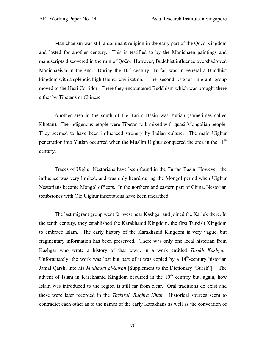Manichaeism was still a dominant religion in the early part of the Qočo Kingdom and lasted for another century. This is testified to by the Manichaen paintings and manuscripts discovered in the ruin of Qočo. However, Buddhist influence overshadowed Manichaeism in the end. During the  $10<sup>th</sup>$  century, Turfan was in general a Buddhist kingdom with a splendid high Uighur civilization. The second Uighur migrant group moved to the Hexi Corridor. There they encountered Buddhism which was brought there either by Tibetans or Chinese.

 Another area in the south of the Tarim Basin was Yutian (sometimes called Khotan). The indigenous people were Tibetan folk mixed with quasi-Mongolian people. They seemed to have been influenced strongly by Indian culture. The main Uighur penetration into Yutian occurred when the Muslim Uighur conquered the area in the  $11<sup>th</sup>$ century.

Traces of Uighur Nestorians have been found in the Turfan Basin. However, the influence was very limited, and was only heard during the Mongol period when Uighur Nestorians became Mongol officers. In the northern and eastern part of China, Nestorian tombstones with Old Uighur inscriptions have been unearthed.

The last migrant group went far west near Kashgar and joined the Karluk there. In the tenth century, they established the Karakhanid Kingdom, the first Turkish Kingdom to embrace Islam. The early history of the Karakhanid Kingdom is very vague, but fragmentary information has been preserved. There was only one local historian from Kashgar who wrote a history of that town, in a work entitled *Tarikh Kashgar*. Unfortunately, the work was lost but part of it was copied by a  $14<sup>th</sup>$ -century historian Jamal Qarshi into his *Mulhaqat al-Surah* [Supplement to the Dictionary "Surah"]. The advent of Islam in Karakhanid Kingdom occurred in the  $10<sup>th</sup>$  century but, again, how Islam was introduced to the region is still far from clear. Oral traditions do exist and these were later recorded in the *Tazkirah Bughra Khan.* Historical sources seem to contradict each other as to the names of the early Karakhans as well as the conversion of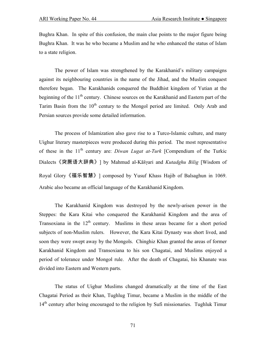Bughra Khan. In spite of this confusion, the main clue points to the major figure being Bughra Khan. It was he who became a Muslim and he who enhanced the status of Islam to a state religion.

The power of Islam was strengthened by the Karakhanid's military campaigns against its neighbouring countries in the name of the Jihad, and the Muslim conquest therefore began. The Karakhanids conquered the Buddhist kingdom of Yutian at the beginning of the 11<sup>th</sup> century. Chinese sources on the Karakhanid and Eastern part of the Tarim Basin from the  $10<sup>th</sup>$  century to the Mongol period are limited. Only Arab and Persian sources provide some detailed information.

The process of Islamization also gave rise to a Turco-Islamic culture, and many Uighur literary masterpieces were produced during this period. The most representative of these in the 11<sup>th</sup> century are: *Diwan Lugat at-Turk* [Compendium of the Turkic Dialects《突厥语大辞典》] by Mahmud al-Kāšγari and *Kutadghu Bilig* [Wisdom of Royal Glory《福乐智慧》] composed by Yusuf Khass Hajib of Balsaghun in 1069. Arabic also became an official language of the Karakhanid Kingdom.

The Karakhanid Kingdom was destroyed by the newly-arisen power in the Steppes: the Kara Kitai who conquered the Karakhanid Kingdom and the area of Transoxiana in the  $12<sup>th</sup>$  century. Muslims in these areas became for a short period subjects of non-Muslim rulers. However, the Kara Kitai Dynasty was short lived, and soon they were swept away by the Mongols. Chinghiz Khan granted the areas of former Karakhanid Kingdom and Transoxiana to his son Chagatai, and Muslims enjoyed a period of tolerance under Mongol rule. After the death of Chagatai, his Khanate was divided into Eastern and Western parts.

The status of Uighur Muslims changed dramatically at the time of the East Chagatai Period as their Khan, Tughlug Timur, became a Muslim in the middle of the 14<sup>th</sup> century after being encouraged to the religion by Sufi missionaries. Tughluk Timur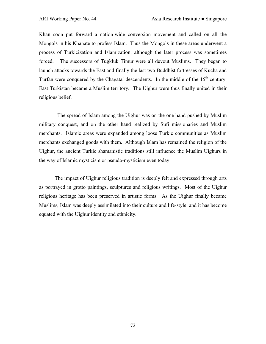Khan soon put forward a nation-wide conversion movement and called on all the Mongols in his Khanate to profess Islam. Thus the Mongols in these areas underwent a process of Turkicization and Islamization, although the later process was sometimes forced. The successors of Tugkluk Timur were all devout Muslims. They began to launch attacks towards the East and finally the last two Buddhist fortresses of Kucha and Turfan were conquered by the Chagatai descendents. In the middle of the  $15<sup>th</sup>$  century, East Turkistan became a Muslim territory. The Uighur were thus finally united in their religious belief.

 The spread of Islam among the Uighur was on the one hand pushed by Muslim military conquest, and on the other hand realized by Sufi missionaries and Muslim merchants. Islamic areas were expanded among loose Turkic communities as Muslim merchants exchanged goods with them. Although Islam has remained the religion of the Uighur, the ancient Turkic shamanistic traditions still influence the Muslim Uighurs in the way of Islamic mysticism or pseudo-mysticism even today.

The impact of Uighur religious tradition is deeply felt and expressed through arts as portrayed in grotto paintings, sculptures and religious writings. Most of the Uighur religious heritage has been preserved in artistic forms. As the Uighur finally became Muslims, Islam was deeply assimilated into their culture and life-style, and it has become equated with the Uighur identity and ethnicity.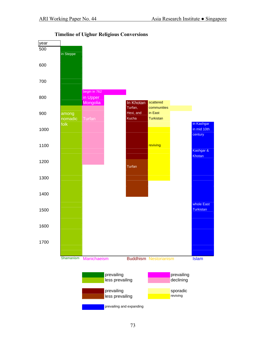

## **Timeline of Uighur Religious Conversions**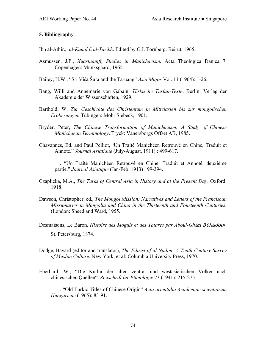## **5. Bibliography**

Ibn al-Athir., *al-Kamil fi al-Tarikh*. Edited by C.J. Tornberg. Beirut, 1965.

- Asmussen, J.P., *Xuastuanift, Studies in Manichaeism*. Acta Theologica Danica 7. Copenhagen: Munksgaard, 1965.
- Bailey, H.W., "Śri Viśa Śūra and the Ta-uang" *Asia Major* Vol. 11 (1964): 1-26.
- Bang, Willi and Annemarie von Gabain, *Türkische Turfan-Texte*. Berlin: Verlag der Akademie der Wissenschaften, 1929.
- Barthold, W, *Zur Geschichte des Christentum in Mittelasien bis zur mongolischen Eroberungen.* Tübingen: Mohr Siebeck, 1901.
- Bryder, Peter, *The Chinese Transformation of Manichaeism: A Study of Chinese Manichaean Terminology*. Tryck: Vänersborgs Offset AB, 1985.
- Chavannes, Éd. and Paul Pelliot, "Un Traité Manichéen Retrouvé en Chine, Traduit et Annoté." *Journal Asiatique* (July-August, 1911) : 499-617.

\_\_\_\_\_\_\_\_. "Un Traité Manichéen Retrouvé en Chine, Traduit et Annoté, deuxième partie." *Journal Asiatique* (Jan-Feb. 1913) : 99-394.

- Czaplicka, M.A., *The Turks of Central Asia in History and at the Present Day*. Oxford: 1918.
- Dawson, Christopher, ed., *The Mongol Mission: Narratives and Letters of the Franciscan Missionaries in Mongolia and China in the Thirteenth and Fourteenth Centuries.*  (London: Sheed and Ward, 1955.
- Desmaisons, Le Baron. *Histoire des Moguls et des Tatares par Aboul-Gh*â*zi B*èhâdour. St. Petersburg, 1874.
- Dodge, Bayard (editor and translator), *The Fihrist of al-Nadim: A Tenth-Century Survey of Muslim Culture*. New York, et al: Columbia University Press, 1970.
- Eberhard, W., "Die Kutlur der alten zentral und westasiatischen Völker nach chinesischen Quellen" *Zeitschrift für Ethnologie* 73 (1941): 215-275.

\_\_\_\_\_\_\_\_. "Old Turkic Titles of Chinese Origin" *Acta orientalia Academiae scientiarum Hungaricae* (1965): 83-91.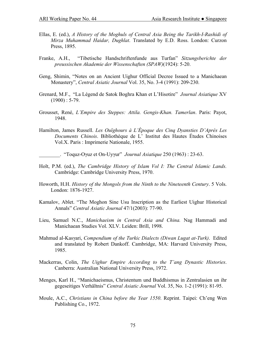- Ellas, E. (ed.), *A History of the Moghuls of Central Asia Being the Tarikh-I-Rashidi of Mirza Muhammad Haidar, Dughlat*. Translated by E.D. Ross. London: Curzon Press, 1895.
- Franke, A.H., "Tibetische Handschriftenfunde aus Turfan" *Sitzungsberichte der preussischen Akademie der Wissenschaften (SPAW)*(1924): 5-20.
- Geng, Shimin, "Notes on an Ancient Uighur Official Decree Issued to a Manichaean Monastery", *Central Asiatic Journal* Vol. 35, No. 3-4 (1991): 209-230.
- Grenard, M.F., "La Légend de Satok Boghra Khan et L'Hisotire" *Journal Asiatique* XV  $(1900)$ : 5-79.
- Grousset, René, *L'Empire des Steppes: Attila. Gengis-Khan. Tamerlan*. Paris: Payot, 1948.
- Hamilton, James Russell. *Les Ouïghours à L'Époque des Cinq Dyansties D'Aprés Les Documents Chinois*. Bibliothéque de L' Institut des Hautes Études Chinoises Vol.X. Paris : Imprimerie Nationale, 1955.

\_\_\_\_\_\_\_\_. "Toquz-Oγuz et On-Uyγur" *Journal Asiatique* 250 (1963) : 23-63.

- Holt, P.M. (ed.), *The Cambridge History of Islam Vol I: The Central Islamic Lands.* Cambridge: Cambridge University Press, 1970.
- Howorth, H.H. *History of the Mongols from the Ninth to the Nineteenth Century*. 5 Vols. London: 1876-1927.
- Kamalov, Ablet. "The Moghon Sine Usu Inscription as the Earliest Uighur Historical Annals" *Central Asiatic Journal* 47/1(2003): 77-90.
- Lieu, Samuel N.C., *Manichaeism in Central Asia and China.* Nag Hammadi and Manichaean Studies Vol. XLV. Leiden: Brill, 1998.
- Mahmud al-Kasγari, *Compendium of the Turkic Dialects (Diwan Lugat at-Turk)*. Edited and translated by Robert Dankoff. Cambridge, MA: Harvard University Press, 1985.
- Mackerras, Colin, *The Uighur Empire According to the T'ang Dynastic Histories*. Canberra: Australian National University Press, 1972.
- Menges, Karl H., "Manichaeismus, Christentum und Buddhismus in Zentralasien un ihr gegeseitiges Verhältnis" *Central Asiatic Journal* Vol. 35, No. 1-2 (1991): 81-95.
- Moule, A.C., *Christians in China before the Year 1550*. Reprint. Taipei: Ch'eng Wen Publishing Co., 1972.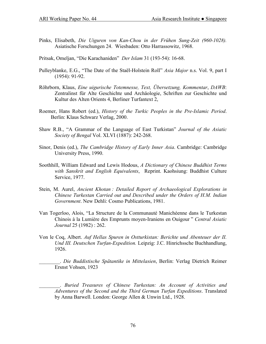- Pinks, Elisabeth, *Die Uiguren von Kan-Chou in der Frühen Sung-Zeit (960-1028).* Asiatische Forschungen 24. Wiesbaden: Otto Harrassowitz, 1968.
- Pritsak, Omeljan, "Die Karachaniden" *Der Islam* 31 (193-54): 16-68.
- Pulleyblanke, E.G., "The Date of the Staël-Holstein Roll" *Asia Major* n.s. Vol. 9, part I (1954): 91-92.
- Röhrborn, Klaus, *Eine uigurische Totemnesse, Text, Übersetzung, Kommentar*, *DAWB*: Zentralinst für Alte Geschichte und Archäologie, Schriften zur Geschichte und Kultur des Alten Orients 4, Berliner Turfantext 2,
- Roemer, Hans Robert (ed.), *History of the Turkic Peoples in the Pre-Islamic Period*. Berlin: Klaus Schwarz Verlag, 2000.
- Shaw R.B., "A Grammar of the Language of East Turkistan" *Journal of the Asiatic Society of Bengal* Vol. XLVI (1887): 242-268.
- Sinor, Denis (ed.), *The Cambridge History of Early Inner Asia*. Cambridge: Cambridge University Press, 1990.
- Soothhill, William Edward and Lewis Hodous, *A Dictionary of Chinese Buddhist Terms with Sanskrit and English Equivalents*, Reprint. Kaohsiung: Buddhist Culture Service, 1977.
- Stein, M. Aurel, *Ancient Khotan : Detailed Report of Archaeological Explorations in Chinese Turkestan Carried out and Described under the Orders of H.M. Indian Government*. New Dehli: Cosmo Publications, 1981.
- Van Togerloo, Alois, "La Structure de la Communauté Manichéenne dans le Turkestan Chinois à la Lumière des Emprunts moyen-Iraniens en Ouigour " *Central Asiatic Journal* 25 (1982) : 262.
- Von le Coq, Albert. *Auf Hellas Spuren in Ostturkistan: Berichte und Abenteuer der II. Und III. Deutschen Turfan-Expedition.* Leipzig: J.C. Hinrichssche Buchhandlung, 1926.

\_\_\_\_\_\_\_\_. *Die Buddistische Spätantike in Mittelasien*, Berlin: Verlag Dietrich Reimer Ersnst Vohsen, 1923

\_\_\_\_\_\_\_\_. *Buried Treasures of Chinese Turkestan: An Account of Activities and Adventures of the Second and the Third German Turfan Expeditions*. Translated by Anna Barwell. London: George Allen & Unwin Ltd., 1928.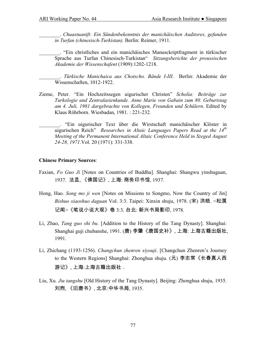\_\_\_\_\_\_\_\_. *Chuastuanift: Ein Sündenbekenntnis der manichäischen Auditores, gefunden in Turfan (chinesisch-Turkistan).* Berlin: Reimer, 1911.

\_\_\_\_\_\_\_\_. "Ein christliches and ein manichäisches Manusckriptfragment in türkischer Sprache aus Turfan Chinesisch-Turkistan" *Sitzungsberichte der preussischen Akademie der Wissenschafent* (1909):1202-1218.

\_\_\_\_\_\_\_\_. *Türkische Manichaica aus Chotscho. Bände I-III*. Berlin: Akademie der Wissenschaften, 1012-1922.

Zieme, Peter. "Ein Hochzeitssegen uigurischer Christen" *Scholia: Beiträge zur Turkologie und Zentralasienkunde. Anne Marie von Gabain zum 80. Geburtstag am 4. Juli, 1981 dargebrachte von Kollegen, Freunden und Schülern*. Edited by Klaus Röhrborn. Wiesbadan, 1981. : 221-232.

\_\_\_\_\_\_\_\_. "Ein uigurischer Text über die Wirstschaft manichäischer Klöster in uigurischen Reich" *Researches in Altaic Languages Papers Read at the 14th Meeting of the Permanent International Altaic Conference Held in Szeged August 24-28, 1971.*Vol. 20 (1971): 331-338.

## **Chinese Primary Sources**:

- Faxian, *Fo Guo Ji* [Notes on Countries of Buddha]. Shanghai: Shangwu yinshuguan, 1937. 法显, 《佛国记》, 上海: 商务印书馆, 1937.
- Hong, Hao. *Song mo ji wen* [Notes on Missions to Songmo, Now the Country of Jin] *Bishuo xiaoshuo daguan* Vol. 3:3. Taipei: Xinxin shuju, 1978. (宋) 洪皓. <松漠 记闻>《笔说小说大观》卷 3:3. 台北: 新兴书局影印, 1978.
- Li, Zhao, *Tang guo shi bu*. [Addition to the History of the Tang Dynasty]. Shanghai: Shanghai guji chubanshe, 1991. (唐) 李肇《唐国史补》, 上海: 上海古籍出版社, 1991.
- Li, Zhichang (1193-1256). *Changchun zhenren xiyouji*. [Changchun Zhenren's Journey to the Western Regions] Shanghai: Zhonghua shuju. (元) 李志常《长春真人西 游记》, 上海:上海古籍出版社.
- Liu, Xu. *Jiu tangshu* [Old History of the Tang Dynasty]. Beijing: Zhonghua shuju, 1935. 刘煦, 《旧唐书》, 北京:中华书局, 1935.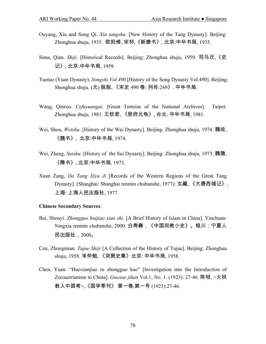- Ouyang, Xiu and Song Qi. *Xin tangshu.* [New History of the Tang Dynasty]. Beijing: Zhonghua shuju, 1935. 欧阳修, 宋祁,《新唐书》, 北京:中华书局, 1935.
- Sima, Qian. *Shiji.* [Historical Records]. Beijing: Zhonghua shuju, 1959. 司马迁,《史 记》, 北京:中华书局, 1959.
- Tuotuo (Yuan Dynasty). *Songshi Vol.490* [History of the Song Dynasty Vol.490]. Beijing: Shonghua shuju. (元) 脱脱, 《宋史 490 卷: 列传:249》. 中华书局.
- Wang, Qinruo. *Cefuyuangui*. [Great Tortoise of the National Archives]. Taipei: Zhonghua shuju, 1981. 王钦若, 《册府元龟》, 台北: 中华书局, 1981.
- Wei, Shou, *Weishu*. [History of the Wei Dynasty]. Beijing: Zhonghua shuju, 1974. 魏收, 《魏书》, 北京:中华书局, 1974.
- Wei, Zheng, *Suishu*. [History of the Sui Dynasty]. Beijing: Zhonghua shuju, 1973. 魏徵, 《隋书》, 北京:中华书局, 1973.
- Xuan Zang, *Da Tang Xiyu Ji* [Records of the Western Regions of the Great Tang Dynasty]. (Shanghai: Shanghai renmin chubanshe, 1977): 玄藏, 《大唐西域记》, 上海: 上海人民出版社, 1977.

## **Chinese Secondary Sources**:

- Bai, Shouyi. *Zhongguo huijiao xiao shi*. [A Brief History of Islam in China]. Yinchuan: Ningxia renmin chubanshe, 2000. 白寿彝,《中国回教小史》。银川:宁夏人 民出版社,2000。
- Cen, Zhongmian. *Tujue Shiji* [A Collection of the History of Tujue]. Beijing: Zhonghua shuju, 1958. 岑仲勉, 《突厥史集》北京: 中华书局, 1958.
- Chen, Yuan. "Huoxianjiao ru zhongguo kao" [Investigation into the Introduction of Zoroastrianism to China]. *Guoxue jikan* Vol.1, No. 1. (1923): 27-46. 陈垣, <火祆 教入中国考>,《国学季刊》 第一卷,第一号 (1923):27-46.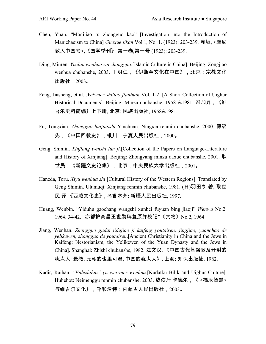- Chen, Yuan. "Monijiao ru zhongguo kao" [Investigation into the Introduction of Manichaeism to China] *Guoxue jikan* Vol.1, No. 1. (1923): 203-239. 陈垣, <摩尼 教入中国考>,《国学季刊》 第一卷,第一号 (1923): 203-239.
- Ding, Minren. *Yisilan wenhua zai zhongguo*.[Islamic Culture in China]. Beijing: Zongjiao wenhua chubanshe, 2003. 丁明仁,《伊斯兰文化在中国》,北京:宗教文化 出版社,2003。
- Feng, Jiasheng, et al. *Weiwuer shiliao jianbian* Vol. 1-2. [A Short Collection of Uighur Historical Documents]. Beijing: Minzu chubanshe, 1958 &1981. 冯加昇, 《维 吾尔史料简编》上下册, 北京: 民族出版社, 1958&1981.
- Fu, Tongxian. *Zhongguo huijiaoshi* Yinchuan: Ningxia renmin chubanshe, 2000. 傅统 先,《中国回教史》,银川:宁夏人民出版社,2000。
- Geng, Shimin. *Xinjiang wenshi lun ji*.[Collection of the Papers on Language-Literature and History of Xinjiang]. Beijing: Zhongyang minzu daxue chubanshe, 2001. 耿 世民,《新疆文史论集》,北京:中央民族大学出版社,2001。
- Haneda, Toru. *Xiyu wenhua shi* [Cultural History of the Western Regions]. Translated by Geng Shimin. Ulumuqi: Xinjiang renmin chubanshe, 1981. (日)羽田亨 著, 耿世 民 译 《西域文化史》, 乌鲁木齐: 新疆人民出版社, 1997.
- Huang, Wenbin. "Yiduhu gaochang wangshi xunbei fuyuan bing jiaoji" *Wenwu* No.2, 1964. 34-42. "亦都护高昌王世勋碑复原并校记"《文物》No.2, 1964
- Jiang, Wenhan. *Zhongguo gudai jidujiao ji kaifeng youtairen: jingjiao, yuanchao de yelikewen, zhongguo de youtairen*.[Ancient Christianity in China and the Jews in Kaifeng: Nestorianism, the Yelikewen of the Yuan Dynasty and the Jews in China]. Shanghai: Zhishi chubanshe, 1982. 江文汉, 《中国古代基督教及开封的 犹太人: 景教, 元朝的也里可温, 中国的犹太人》. 上海: 知识出版社, 1982.
- Kadir, Raihan. *"Fulezhihui" yu weiwuer wenhua.*[Kudatku Bilik and Uighur Culture]. Huhehot: Neimenggu renmin chubanshe, 2003. 热依汗·卡德尔, 《<福乐智慧> 与维吾尔文化》,呼和浩特:内蒙古人民出版社,2003。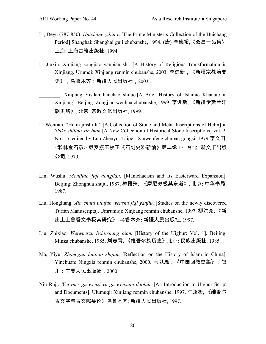- Li, Deyu (787-850). *Huichang yibin ji* [The Prime Minister's Collection of the Huichang Period] Shanghai: Shanghai guji chubanshe, 1994. (唐) 李德裕,《会昌一品集》 上海: 上海古籍出版社, 1994.
- Li Jinxin. Xinjiang zongjiao yanbian shi. [A History of Religious Transformation in Xinjiang. Urumqi: Xinjiang renmin chubanshe, 2003. 李进新,《新疆宗教演变 史》,乌鲁木齐:新疆人民出版社,2003。
- . Xinjiang Yisilan hanchao shilue.[A Brief History of Islamic Khanate in Xinjiang]. Beijing: Zongjiao wenhua chubanshe, 1999. 李进新, 《新疆伊斯兰汗 朝史略》, 北京: 宗教文化出版社, 1999.
- Li Wentian. "Helin jinshi lu" [A Collection of Stone and Metal Inscriptions of Helin] in *Shike shiliao xin bian* [A New Collection of Historical Stone Inscriptions] vol. 2. No. 15, edited by Luo Zhenyu. Taipei: Xinwenfeng chuban gongsi, 1979 李文田, <和林金石录> 载罗振玉校正《石刻史料新编》第二缉 15. 台北: 新文丰出版 公司, 1979.
- Lin, Wushu. *Monijiao jiqi dongjian*. [Manichaeism and Its Easterward Expansion]. Beijing: Zhonghua shuju, 1987. 林悟殊, 《摩尼教极其东渐》, 北京: 中华书局, 1987.
- Liu, Hongliang. *Xin chutu tulufan wenshu jiqi yanjiu*. [Studies on the newly discovered Turfan Manuscripts]. Umrumiqi: Xinjiang renmin chubanshe, 1997. 柳洪亮, 《新 出土土鲁番文书极其研究》. 乌鲁木齐: 新疆人民出版社, 1997.
- Liu, Zhixiao. *Weiwuerzu lishi:shang bian.* [History of the Uighur: Vol. 1]. Beijing: Minzu chubanshe, 1985. 刘志霄, 《维吾尔族历史》北京: 民族出版社, 1985.
- Ma, Yiyu. *Zhongguo huijiao shijian* [Reflection on the History of Islam in China]. Yinchuan: Ningxia renmin chubanshe, 2000. 马以愚,《中国回教史鉴》,银 川:宁夏人民出版社,2000。
- Niu Ruji. *Weiwuer gu wenzi yu gu wenxian daolun*. [An Introduction to Uighur Script and Documents]. Ulumuqi: Xinjiang renmin chubanshe, 1997. 牛汝极, 《维吾尔 古文字与古文献导论》乌鲁木齐: 新疆人民出版社, 1997.